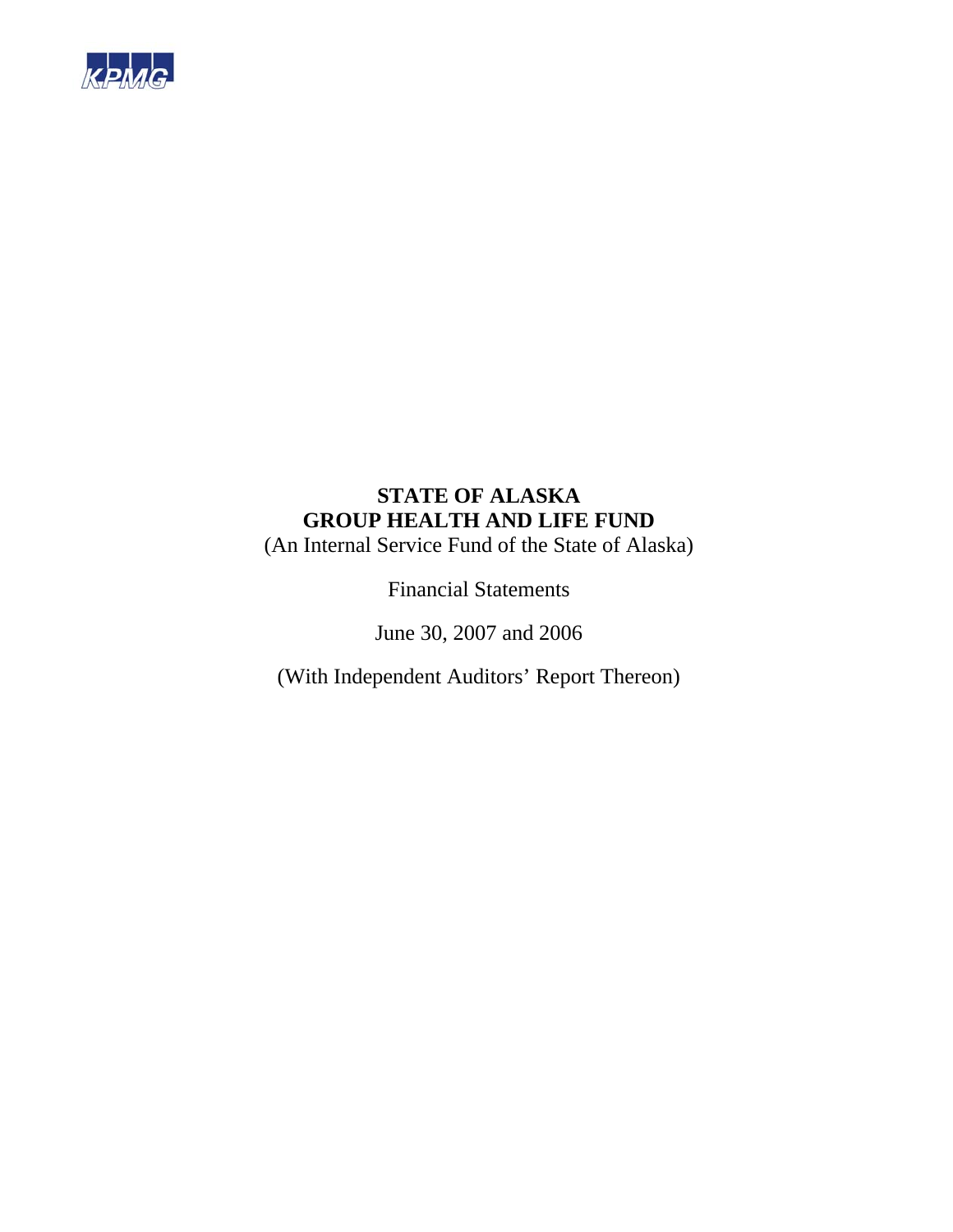

(An Internal Service Fund of the State of Alaska)

Financial Statements

June 30, 2007 and 2006

(With Independent Auditors' Report Thereon)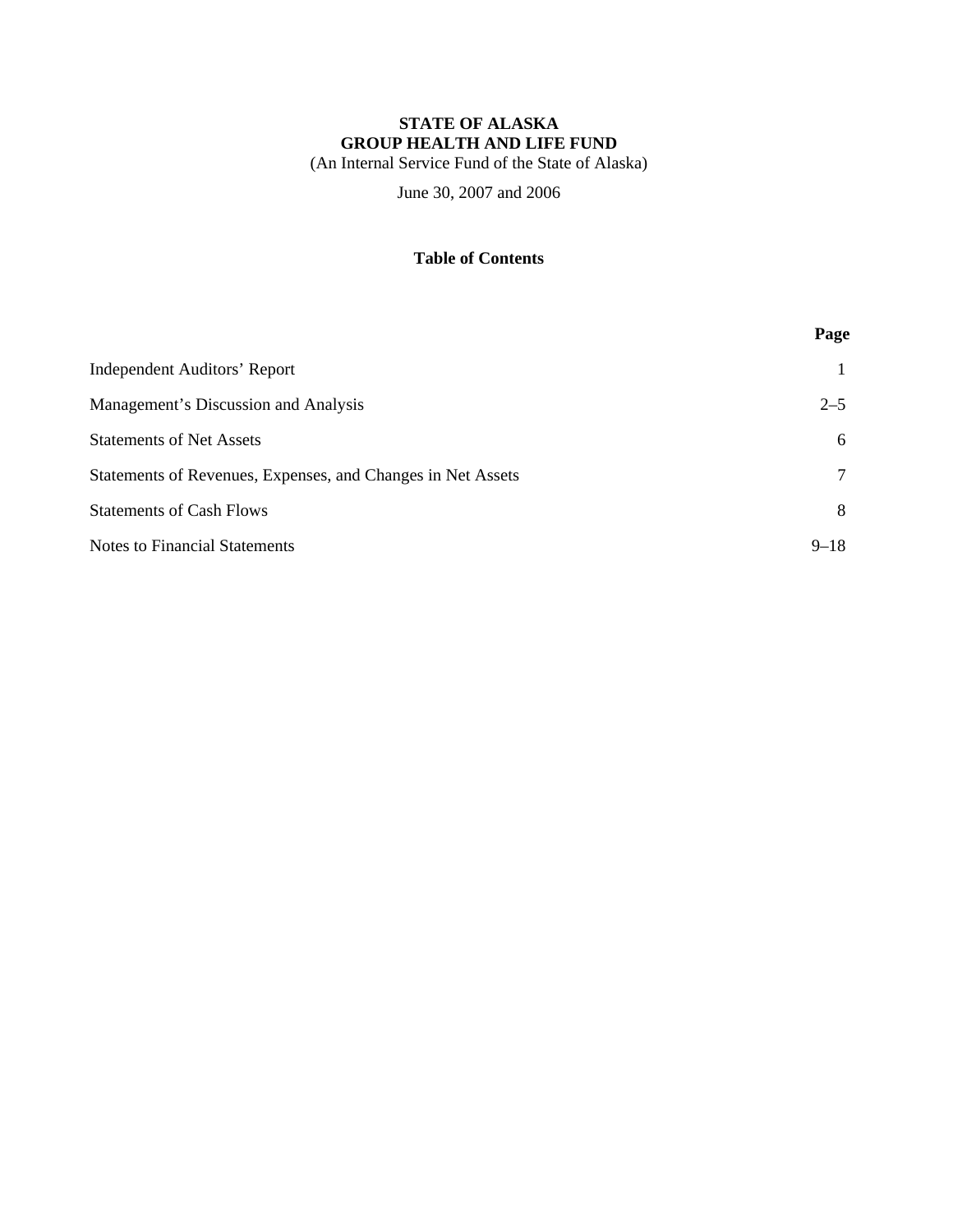(An Internal Service Fund of the State of Alaska)

June 30, 2007 and 2006

## **Table of Contents**

|                                                             | Page     |
|-------------------------------------------------------------|----------|
| Independent Auditors' Report                                |          |
| Management's Discussion and Analysis                        | $2 - 5$  |
| <b>Statements of Net Assets</b>                             | 6        |
| Statements of Revenues, Expenses, and Changes in Net Assets | $\tau$   |
| <b>Statements of Cash Flows</b>                             | 8        |
| <b>Notes to Financial Statements</b>                        | $9 - 18$ |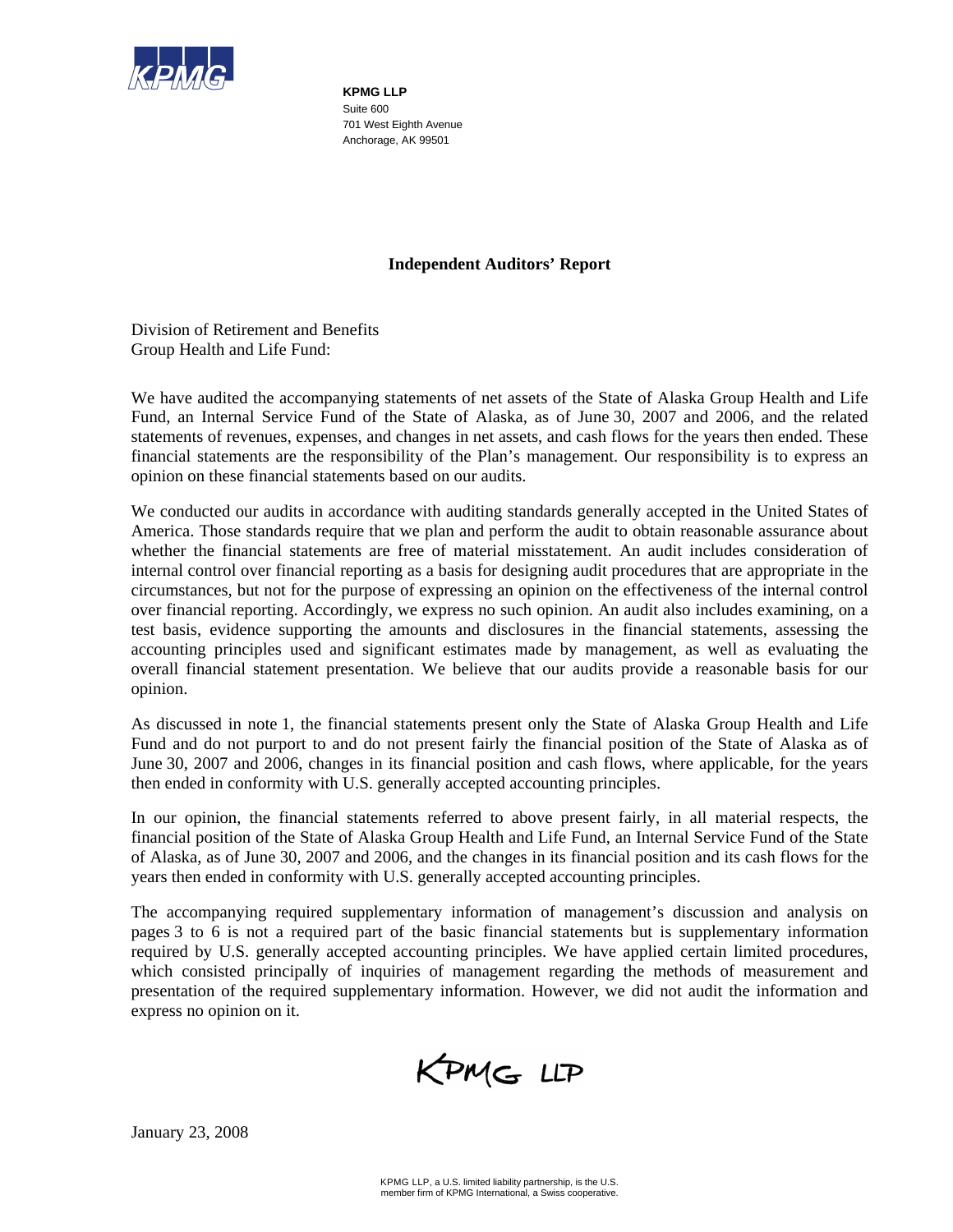

**KPMG LLP**  Suite 600 701 West Eighth Avenue Anchorage, AK 99501

#### **Independent Auditors' Report**

Division of Retirement and Benefits Group Health and Life Fund:

We have audited the accompanying statements of net assets of the State of Alaska Group Health and Life Fund, an Internal Service Fund of the State of Alaska, as of June 30, 2007 and 2006, and the related statements of revenues, expenses, and changes in net assets, and cash flows for the years then ended. These financial statements are the responsibility of the Plan's management. Our responsibility is to express an opinion on these financial statements based on our audits.

We conducted our audits in accordance with auditing standards generally accepted in the United States of America. Those standards require that we plan and perform the audit to obtain reasonable assurance about whether the financial statements are free of material misstatement. An audit includes consideration of internal control over financial reporting as a basis for designing audit procedures that are appropriate in the circumstances, but not for the purpose of expressing an opinion on the effectiveness of the internal control over financial reporting. Accordingly, we express no such opinion. An audit also includes examining, on a test basis, evidence supporting the amounts and disclosures in the financial statements, assessing the accounting principles used and significant estimates made by management, as well as evaluating the overall financial statement presentation. We believe that our audits provide a reasonable basis for our opinion.

As discussed in note 1, the financial statements present only the State of Alaska Group Health and Life Fund and do not purport to and do not present fairly the financial position of the State of Alaska as of June 30, 2007 and 2006, changes in its financial position and cash flows, where applicable, for the years then ended in conformity with U.S. generally accepted accounting principles.

In our opinion, the financial statements referred to above present fairly, in all material respects, the financial position of the State of Alaska Group Health and Life Fund, an Internal Service Fund of the State of Alaska, as of June 30, 2007 and 2006, and the changes in its financial position and its cash flows for the years then ended in conformity with U.S. generally accepted accounting principles.

The accompanying required supplementary information of management's discussion and analysis on pages 3 to 6 is not a required part of the basic financial statements but is supplementary information required by U.S. generally accepted accounting principles. We have applied certain limited procedures, which consisted principally of inquiries of management regarding the methods of measurement and presentation of the required supplementary information. However, we did not audit the information and express no opinion on it.

KPMG LLP

January 23, 2008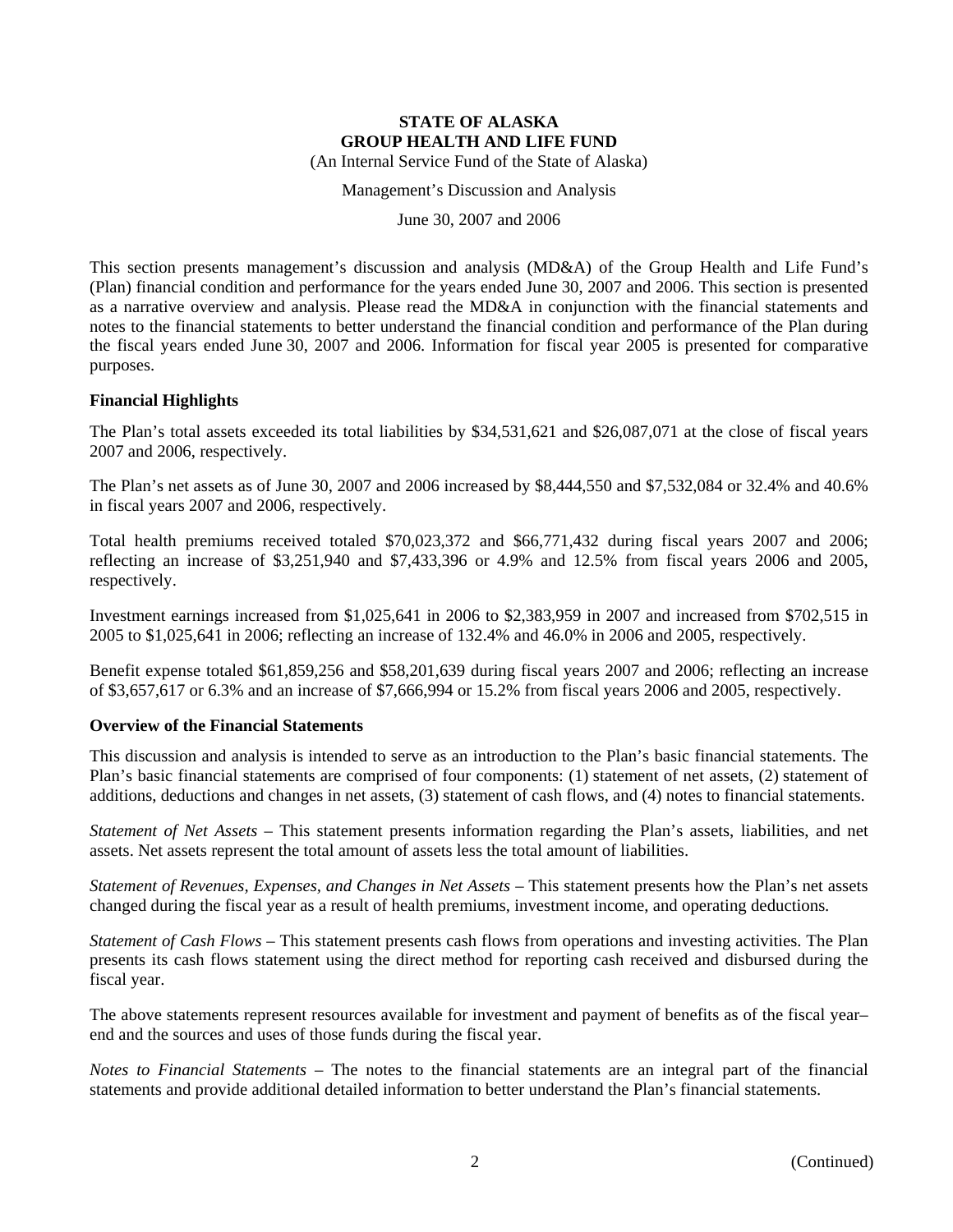(An Internal Service Fund of the State of Alaska)

Management's Discussion and Analysis

June 30, 2007 and 2006

This section presents management's discussion and analysis (MD&A) of the Group Health and Life Fund's (Plan) financial condition and performance for the years ended June 30, 2007 and 2006. This section is presented as a narrative overview and analysis. Please read the MD&A in conjunction with the financial statements and notes to the financial statements to better understand the financial condition and performance of the Plan during the fiscal years ended June 30, 2007 and 2006. Information for fiscal year 2005 is presented for comparative purposes.

#### **Financial Highlights**

The Plan's total assets exceeded its total liabilities by \$34,531,621 and \$26,087,071 at the close of fiscal years 2007 and 2006, respectively.

The Plan's net assets as of June 30, 2007 and 2006 increased by \$8,444,550 and \$7,532,084 or 32.4% and 40.6% in fiscal years 2007 and 2006, respectively.

Total health premiums received totaled \$70,023,372 and \$66,771,432 during fiscal years 2007 and 2006; reflecting an increase of \$3,251,940 and \$7,433,396 or 4.9% and 12.5% from fiscal years 2006 and 2005, respectively.

Investment earnings increased from \$1,025,641 in 2006 to \$2,383,959 in 2007 and increased from \$702,515 in 2005 to \$1,025,641 in 2006; reflecting an increase of 132.4% and 46.0% in 2006 and 2005, respectively.

Benefit expense totaled \$61,859,256 and \$58,201,639 during fiscal years 2007 and 2006; reflecting an increase of \$3,657,617 or 6.3% and an increase of \$7,666,994 or 15.2% from fiscal years 2006 and 2005, respectively.

#### **Overview of the Financial Statements**

This discussion and analysis is intended to serve as an introduction to the Plan's basic financial statements. The Plan's basic financial statements are comprised of four components: (1) statement of net assets, (2) statement of additions, deductions and changes in net assets, (3) statement of cash flows, and (4) notes to financial statements.

*Statement of Net Assets* – This statement presents information regarding the Plan's assets, liabilities, and net assets. Net assets represent the total amount of assets less the total amount of liabilities.

*Statement of Revenues, Expenses, and Changes in Net Assets – This statement presents how the Plan's net assets* changed during the fiscal year as a result of health premiums, investment income, and operating deductions.

*Statement of Cash Flows* – This statement presents cash flows from operations and investing activities. The Plan presents its cash flows statement using the direct method for reporting cash received and disbursed during the fiscal year.

The above statements represent resources available for investment and payment of benefits as of the fiscal year– end and the sources and uses of those funds during the fiscal year.

*Notes to Financial Statements* – The notes to the financial statements are an integral part of the financial statements and provide additional detailed information to better understand the Plan's financial statements.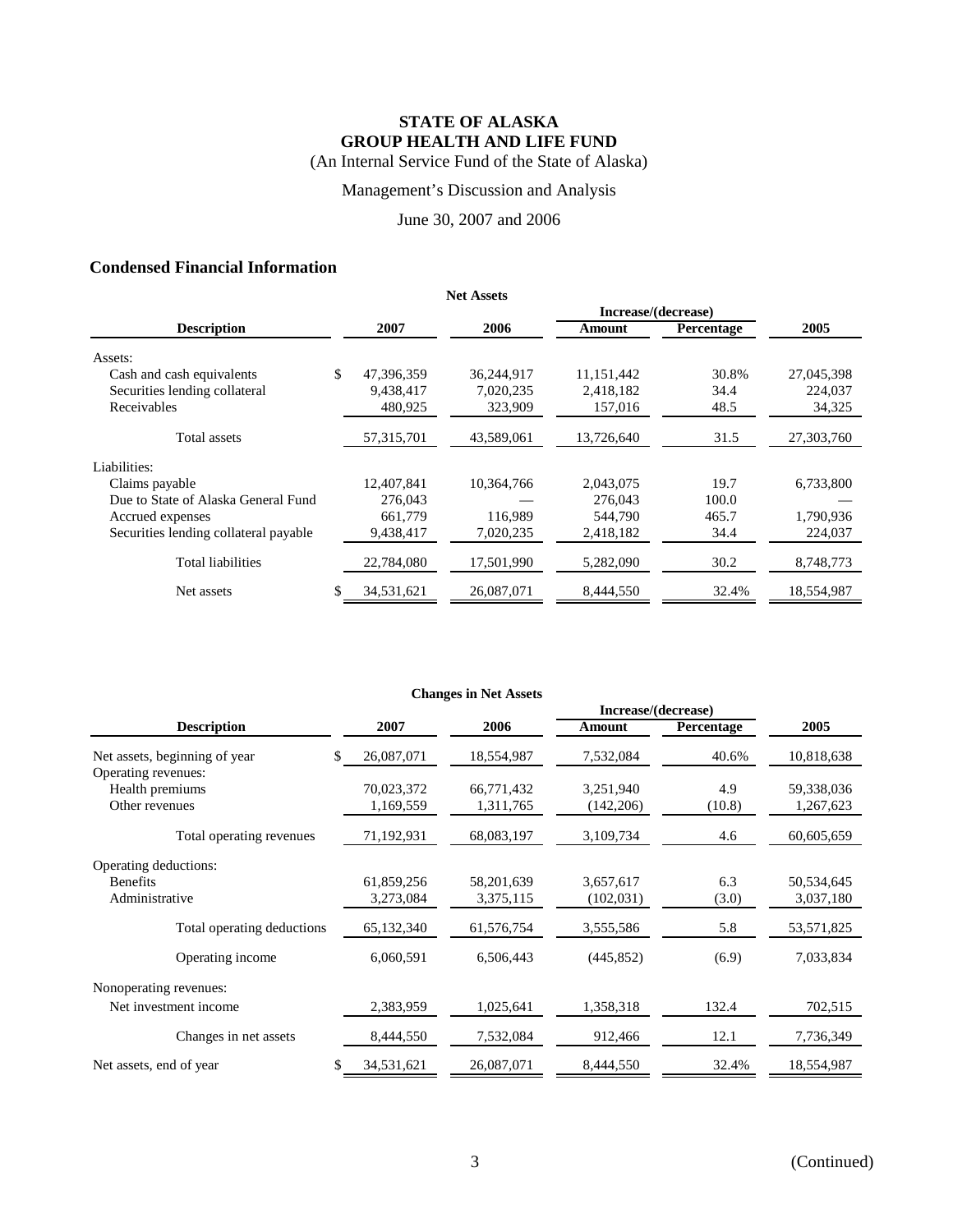## Management's Discussion and Analysis

#### June 30, 2007 and 2006

## **Condensed Financial Information**

|                                       |                  | <b>Net Assets</b> |            |                     |            |
|---------------------------------------|------------------|-------------------|------------|---------------------|------------|
|                                       |                  |                   |            | Increase/(decrease) |            |
| <b>Description</b>                    | 2007             | 2006              | Amount     | Percentage          | 2005       |
| Assets:                               |                  |                   |            |                     |            |
| Cash and cash equivalents             | \$<br>47,396,359 | 36,244,917        | 11,151,442 | 30.8%               | 27,045,398 |
| Securities lending collateral         | 9,438,417        | 7,020,235         | 2,418,182  | 34.4                | 224,037    |
| Receivables                           | 480,925          | 323,909           | 157,016    | 48.5                | 34,325     |
| Total assets                          | 57,315,701       | 43,589,061        | 13,726,640 | 31.5                | 27,303,760 |
| Liabilities:                          |                  |                   |            |                     |            |
| Claims payable                        | 12,407,841       | 10,364,766        | 2,043,075  | 19.7                | 6,733,800  |
| Due to State of Alaska General Fund   | 276,043          |                   | 276,043    | 100.0               |            |
| Accrued expenses                      | 661,779          | 116,989           | 544,790    | 465.7               | 1,790,936  |
| Securities lending collateral payable | 9,438,417        | 7,020,235         | 2,418,182  | 34.4                | 224,037    |
| <b>Total liabilities</b>              | 22,784,080       | 17,501,990        | 5,282,090  | 30.2                | 8,748,773  |
| Net assets                            | 34,531,621       | 26,087,071        | 8,444,550  | 32.4%               | 18,554,987 |

|                                        |            | <b>Changes in Net Assets</b> |            |            |            |
|----------------------------------------|------------|------------------------------|------------|------------|------------|
|                                        |            | Increase/(decrease)          |            |            |            |
| <b>Description</b>                     | 2007       | 2006                         | Amount     | Percentage | 2005       |
| Net assets, beginning of year<br>S.    | 26,087,071 | 18,554,987                   | 7,532,084  | 40.6%      | 10,818,638 |
| Operating revenues:<br>Health premiums | 70,023,372 | 66,771,432                   | 3,251,940  | 4.9        | 59,338,036 |
| Other revenues                         | 1,169,559  | 1,311,765                    | (142,206)  | (10.8)     | 1,267,623  |
| Total operating revenues               | 71,192,931 | 68,083,197                   | 3,109,734  | 4.6        | 60,605,659 |
| Operating deductions:                  |            |                              |            |            |            |
| <b>Benefits</b>                        | 61,859,256 | 58,201,639                   | 3,657,617  | 6.3        | 50,534,645 |
| Administrative                         | 3,273,084  | 3,375,115                    | (102, 031) | (3.0)      | 3,037,180  |
| Total operating deductions             | 65,132,340 | 61,576,754                   | 3,555,586  | 5.8        | 53,571,825 |
| Operating income                       | 6,060,591  | 6,506,443                    | (445, 852) | (6.9)      | 7,033,834  |
| Nonoperating revenues:                 |            |                              |            |            |            |
| Net investment income                  | 2,383,959  | 1,025,641                    | 1,358,318  | 132.4      | 702,515    |
| Changes in net assets                  | 8,444,550  | 7,532,084                    | 912,466    | 12.1       | 7,736,349  |
| Net assets, end of year                | 34,531,621 | 26,087,071                   | 8,444,550  | 32.4%      | 18,554,987 |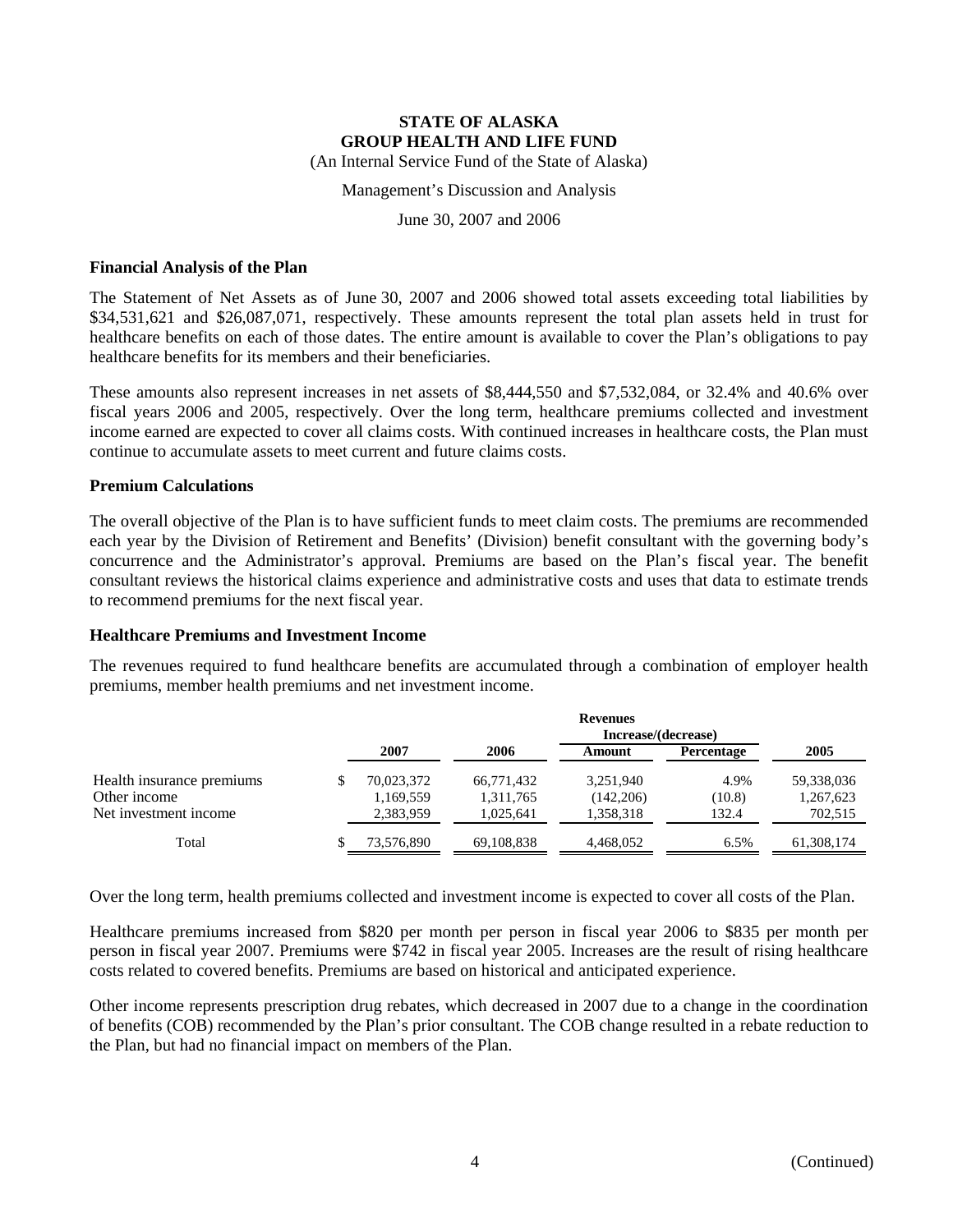Management's Discussion and Analysis

June 30, 2007 and 2006

#### **Financial Analysis of the Plan**

The Statement of Net Assets as of June 30, 2007 and 2006 showed total assets exceeding total liabilities by \$34,531,621 and \$26,087,071, respectively. These amounts represent the total plan assets held in trust for healthcare benefits on each of those dates. The entire amount is available to cover the Plan's obligations to pay healthcare benefits for its members and their beneficiaries.

These amounts also represent increases in net assets of \$8,444,550 and \$7,532,084, or 32.4% and 40.6% over fiscal years 2006 and 2005, respectively. Over the long term, healthcare premiums collected and investment income earned are expected to cover all claims costs. With continued increases in healthcare costs, the Plan must continue to accumulate assets to meet current and future claims costs.

#### **Premium Calculations**

The overall objective of the Plan is to have sufficient funds to meet claim costs. The premiums are recommended each year by the Division of Retirement and Benefits' (Division) benefit consultant with the governing body's concurrence and the Administrator's approval. Premiums are based on the Plan's fiscal year. The benefit consultant reviews the historical claims experience and administrative costs and uses that data to estimate trends to recommend premiums for the next fiscal year.

#### **Healthcare Premiums and Investment Income**

The revenues required to fund healthcare benefits are accumulated through a combination of employer health premiums, member health premiums and net investment income.

|                           |            |            | <b>Revenues</b> |            |            |
|---------------------------|------------|------------|-----------------|------------|------------|
|                           |            |            |                 |            |            |
|                           | 2007       | 2006       | Amount          | Percentage | 2005       |
| Health insurance premiums | 70,023,372 | 66,771,432 | 3,251,940       | 4.9%       | 59,338,036 |
| Other income              | 1,169,559  | 1,311,765  | (142, 206)      | (10.8)     | 1,267,623  |
| Net investment income     | 2,383,959  | 1,025,641  | 1,358,318       | 132.4      | 702,515    |
| Total                     | 73.576.890 | 69.108.838 | 4.468.052       | 6.5%       | 61.308.174 |

Over the long term, health premiums collected and investment income is expected to cover all costs of the Plan.

Healthcare premiums increased from \$820 per month per person in fiscal year 2006 to \$835 per month per person in fiscal year 2007. Premiums were \$742 in fiscal year 2005. Increases are the result of rising healthcare costs related to covered benefits. Premiums are based on historical and anticipated experience.

Other income represents prescription drug rebates, which decreased in 2007 due to a change in the coordination of benefits (COB) recommended by the Plan's prior consultant. The COB change resulted in a rebate reduction to the Plan, but had no financial impact on members of the Plan.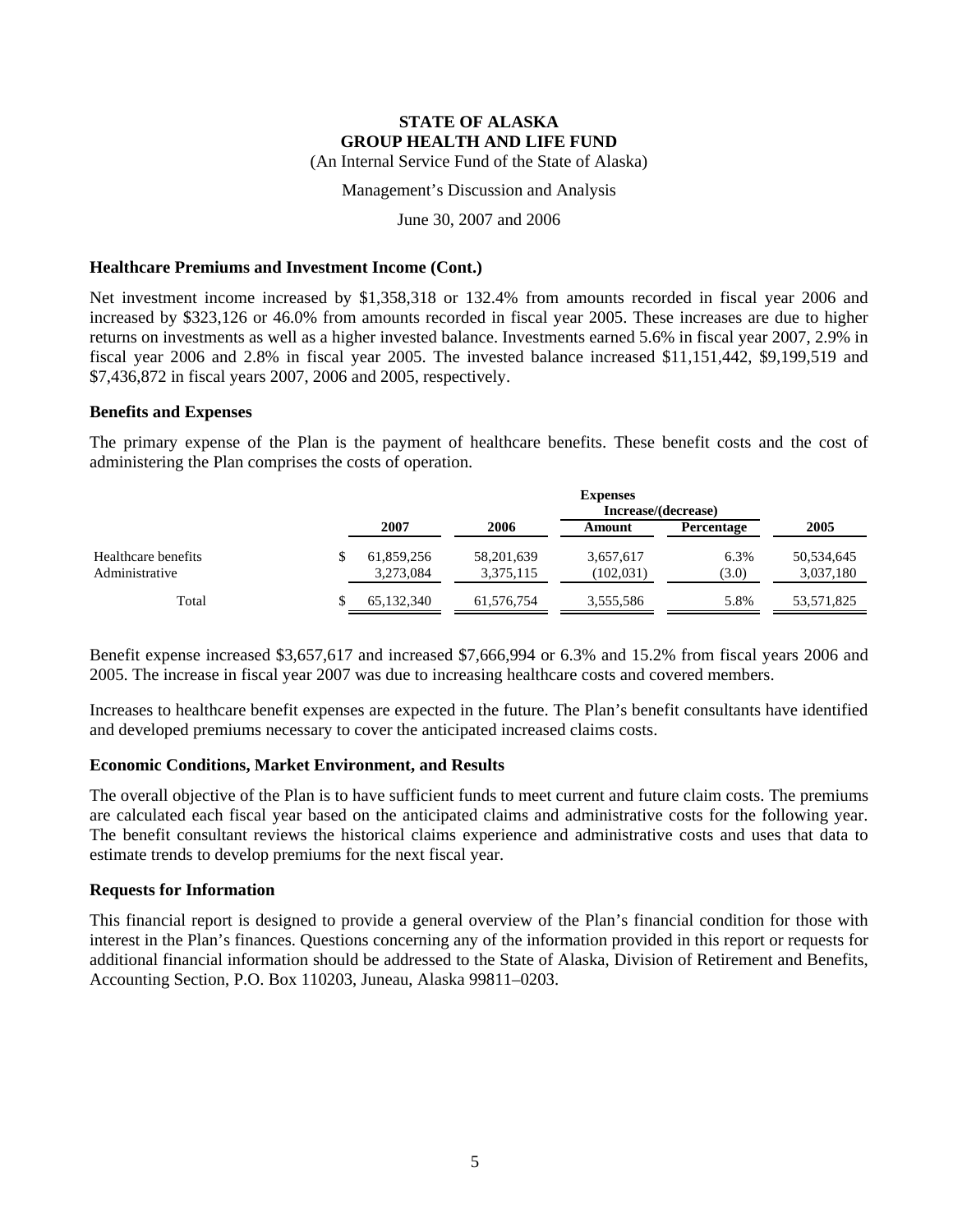(An Internal Service Fund of the State of Alaska)

Management's Discussion and Analysis

June 30, 2007 and 2006

#### **Healthcare Premiums and Investment Income (Cont.)**

Net investment income increased by \$1,358,318 or 132.4% from amounts recorded in fiscal year 2006 and increased by \$323,126 or 46.0% from amounts recorded in fiscal year 2005. These increases are due to higher returns on investments as well as a higher invested balance. Investments earned 5.6% in fiscal year 2007, 2.9% in fiscal year 2006 and 2.8% in fiscal year 2005. The invested balance increased \$11,151,442, \$9,199,519 and \$7,436,872 in fiscal years 2007, 2006 and 2005, respectively.

#### **Benefits and Expenses**

The primary expense of the Plan is the payment of healthcare benefits. These benefit costs and the cost of administering the Plan comprises the costs of operation.

|                                       | <b>Expenses</b><br>Increase/(decrease) |                         |                         |                   |                         |  |  |
|---------------------------------------|----------------------------------------|-------------------------|-------------------------|-------------------|-------------------------|--|--|
|                                       | 2007                                   | 2006                    | Amount                  | <b>Percentage</b> | 2005                    |  |  |
| Healthcare benefits<br>Administrative | 61,859,256<br>3,273,084                | 58,201,639<br>3,375,115 | 3,657,617<br>(102, 031) | 6.3%<br>(3.0)     | 50,534,645<br>3,037,180 |  |  |
| Total                                 | 65,132,340                             | 61,576,754              | 3,555,586               | 5.8%              | 53,571,825              |  |  |

Benefit expense increased \$3,657,617 and increased \$7,666,994 or 6.3% and 15.2% from fiscal years 2006 and 2005. The increase in fiscal year 2007 was due to increasing healthcare costs and covered members.

Increases to healthcare benefit expenses are expected in the future. The Plan's benefit consultants have identified and developed premiums necessary to cover the anticipated increased claims costs.

#### **Economic Conditions, Market Environment, and Results**

The overall objective of the Plan is to have sufficient funds to meet current and future claim costs. The premiums are calculated each fiscal year based on the anticipated claims and administrative costs for the following year. The benefit consultant reviews the historical claims experience and administrative costs and uses that data to estimate trends to develop premiums for the next fiscal year.

#### **Requests for Information**

This financial report is designed to provide a general overview of the Plan's financial condition for those with interest in the Plan's finances. Questions concerning any of the information provided in this report or requests for additional financial information should be addressed to the State of Alaska, Division of Retirement and Benefits, Accounting Section, P.O. Box 110203, Juneau, Alaska 99811–0203.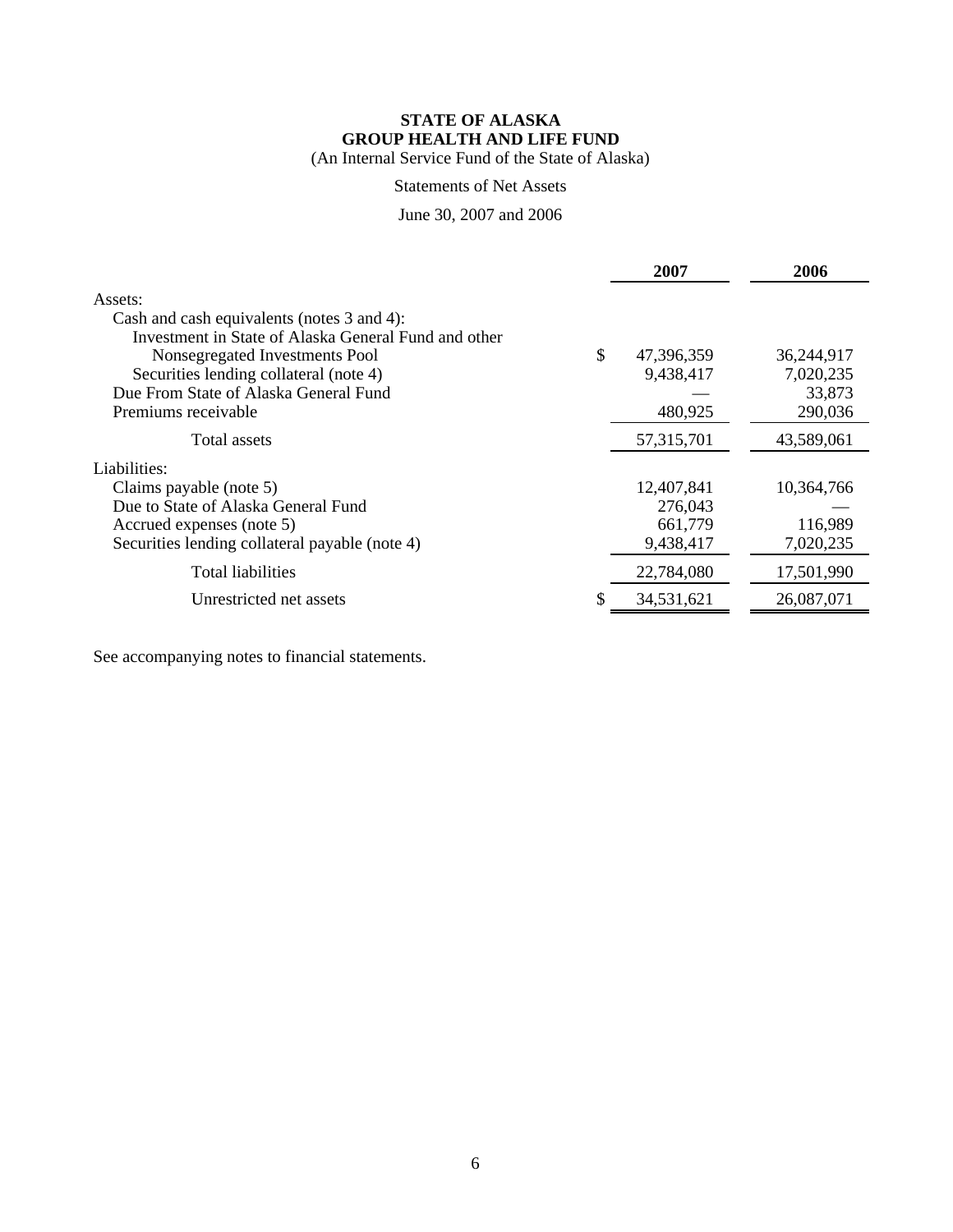(An Internal Service Fund of the State of Alaska)

## Statements of Net Assets

### June 30, 2007 and 2006

|                                                      | 2007             | 2006       |
|------------------------------------------------------|------------------|------------|
| Assets:                                              |                  |            |
| Cash and cash equivalents (notes 3 and 4):           |                  |            |
| Investment in State of Alaska General Fund and other |                  |            |
| Nonsegregated Investments Pool                       | \$<br>47,396,359 | 36,244,917 |
| Securities lending collateral (note 4)               | 9,438,417        | 7,020,235  |
| Due From State of Alaska General Fund                |                  | 33,873     |
| Premiums receivable                                  | 480,925          | 290,036    |
| Total assets                                         | 57, 315, 701     | 43,589,061 |
| Liabilities:                                         |                  |            |
| Claims payable (note 5)                              | 12,407,841       | 10,364,766 |
| Due to State of Alaska General Fund                  | 276,043          |            |
| Accrued expenses (note 5)                            | 661,779          | 116,989    |
| Securities lending collateral payable (note 4)       | 9,438,417        | 7,020,235  |
| <b>Total liabilities</b>                             | 22,784,080       | 17,501,990 |
| Unrestricted net assets                              | 34,531,621       | 26,087,071 |
|                                                      |                  |            |

See accompanying notes to financial statements.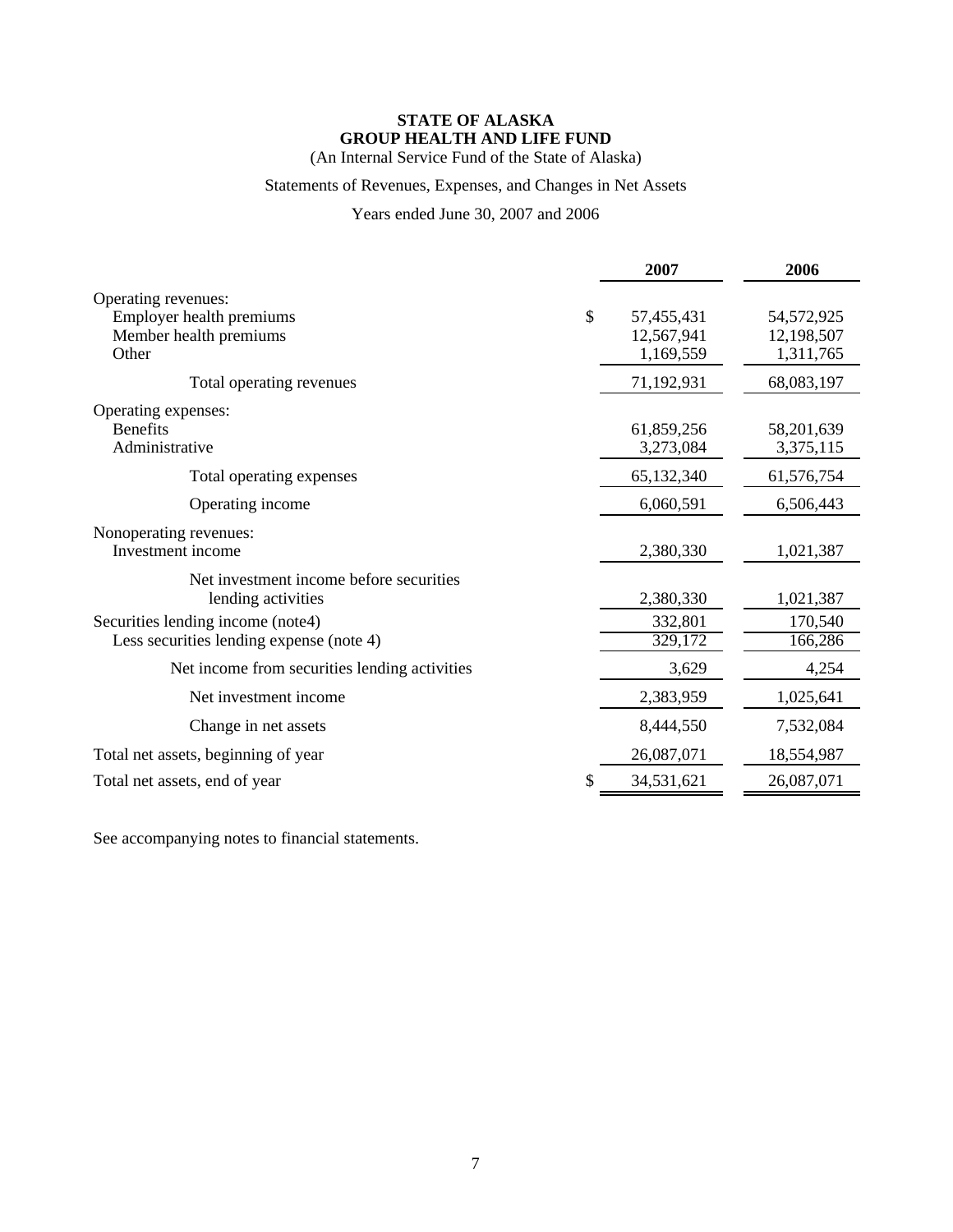(An Internal Service Fund of the State of Alaska)

## Statements of Revenues, Expenses, and Changes in Net Assets

Years ended June 30, 2007 and 2006

|                                               | 2007       | 2006       |
|-----------------------------------------------|------------|------------|
| Operating revenues:                           |            |            |
| \$<br>Employer health premiums                | 57,455,431 | 54,572,925 |
| Member health premiums                        | 12,567,941 | 12,198,507 |
| Other                                         | 1,169,559  | 1,311,765  |
| Total operating revenues                      | 71,192,931 | 68,083,197 |
| Operating expenses:                           |            |            |
| <b>Benefits</b>                               | 61,859,256 | 58,201,639 |
| Administrative                                | 3,273,084  | 3,375,115  |
| Total operating expenses                      | 65,132,340 | 61,576,754 |
| Operating income                              | 6,060,591  | 6,506,443  |
| Nonoperating revenues:                        |            |            |
| Investment income                             | 2,380,330  | 1,021,387  |
| Net investment income before securities       |            |            |
| lending activities                            | 2,380,330  | 1,021,387  |
| Securities lending income (note4)             | 332,801    | 170,540    |
| Less securities lending expense (note 4)      | 329,172    | 166,286    |
| Net income from securities lending activities | 3,629      | 4,254      |
| Net investment income                         | 2,383,959  | 1,025,641  |
| Change in net assets                          | 8,444,550  | 7,532,084  |
| Total net assets, beginning of year           | 26,087,071 | 18,554,987 |
| \$<br>Total net assets, end of year           | 34,531,621 | 26,087,071 |

See accompanying notes to financial statements.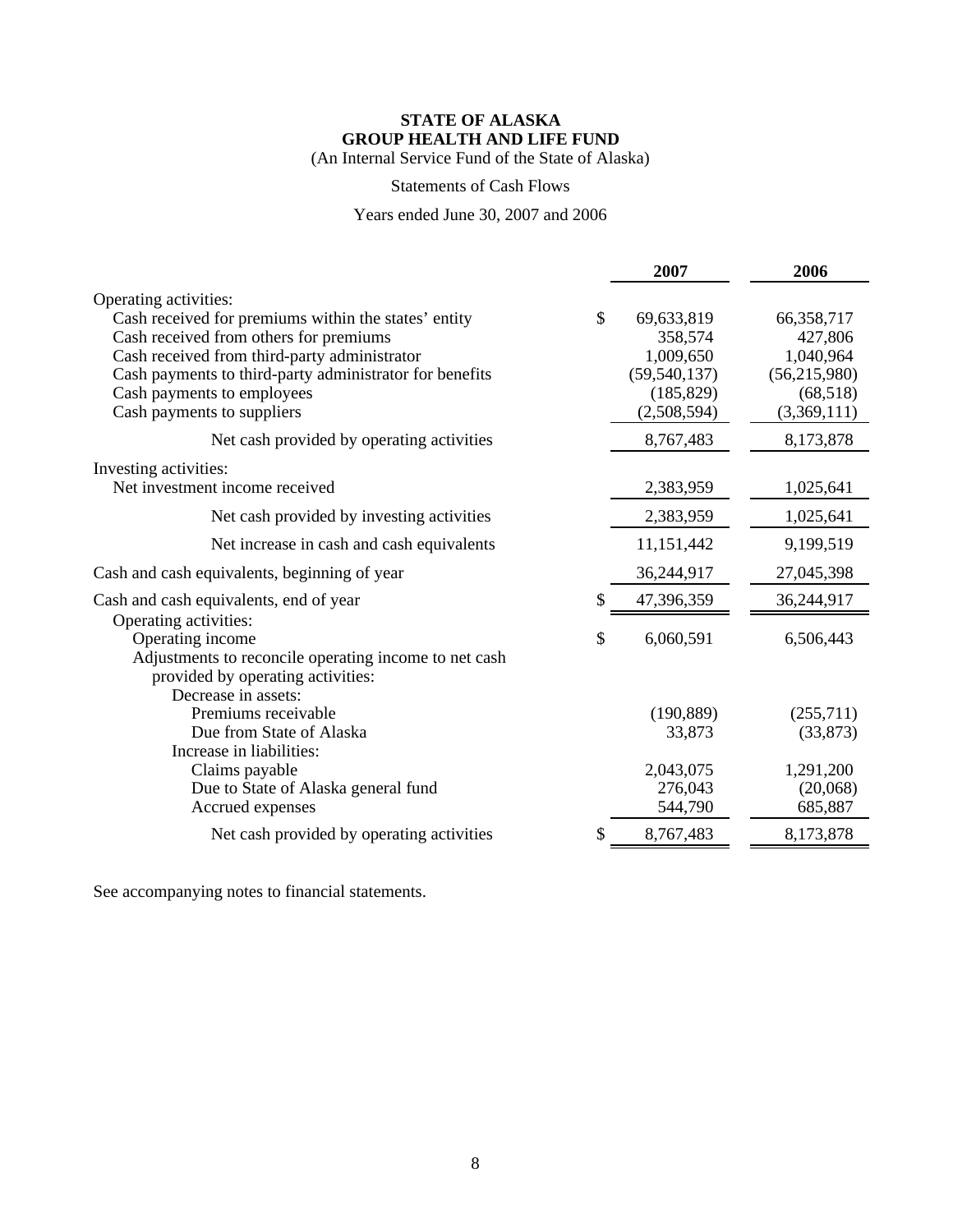(An Internal Service Fund of the State of Alaska)

#### Statements of Cash Flows

## Years ended June 30, 2007 and 2006

|                                                          |               | 2007           | 2006           |
|----------------------------------------------------------|---------------|----------------|----------------|
| Operating activities:                                    |               |                |                |
| Cash received for premiums within the states' entity     | $\mathcal{S}$ | 69,633,819     | 66,358,717     |
| Cash received from others for premiums                   |               | 358,574        | 427,806        |
| Cash received from third-party administrator             |               | 1,009,650      | 1,040,964      |
| Cash payments to third-party administrator for benefits  |               | (59, 540, 137) | (56, 215, 980) |
| Cash payments to employees                               |               | (185, 829)     | (68, 518)      |
| Cash payments to suppliers                               |               | (2,508,594)    | (3,369,111)    |
| Net cash provided by operating activities                |               | 8,767,483      | 8,173,878      |
| Investing activities:                                    |               |                |                |
| Net investment income received                           |               | 2,383,959      | 1,025,641      |
| Net cash provided by investing activities                |               | 2,383,959      | 1,025,641      |
| Net increase in cash and cash equivalents                |               | 11,151,442     | 9,199,519      |
| Cash and cash equivalents, beginning of year             |               | 36,244,917     | 27,045,398     |
| Cash and cash equivalents, end of year                   |               | 47,396,359     | 36,244,917     |
| Operating activities:                                    |               |                |                |
| Operating income                                         | \$            | 6,060,591      | 6,506,443      |
| Adjustments to reconcile operating income to net cash    |               |                |                |
| provided by operating activities:<br>Decrease in assets: |               |                |                |
| Premiums receivable                                      |               | (190, 889)     | (255,711)      |
| Due from State of Alaska                                 |               | 33,873         | (33, 873)      |
| Increase in liabilities:                                 |               |                |                |
| Claims payable                                           |               | 2,043,075      | 1,291,200      |
| Due to State of Alaska general fund                      |               | 276,043        | (20,068)       |
| Accrued expenses                                         |               | 544,790        | 685,887        |
| Net cash provided by operating activities                |               | 8,767,483      | 8,173,878      |

See accompanying notes to financial statements.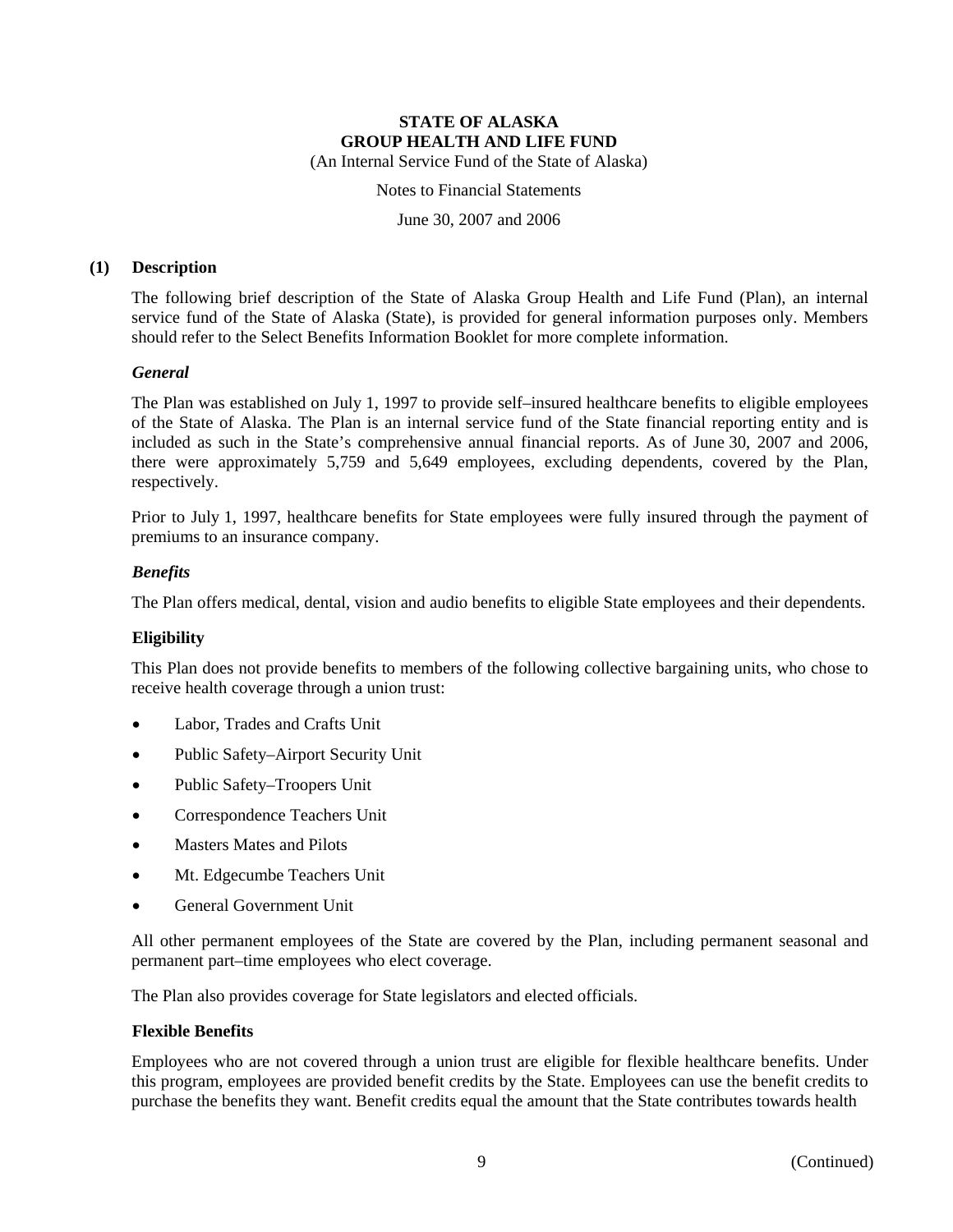Notes to Financial Statements

June 30, 2007 and 2006

#### **(1) Description**

The following brief description of the State of Alaska Group Health and Life Fund (Plan), an internal service fund of the State of Alaska (State), is provided for general information purposes only. Members should refer to the Select Benefits Information Booklet for more complete information.

#### *General*

The Plan was established on July 1, 1997 to provide self–insured healthcare benefits to eligible employees of the State of Alaska. The Plan is an internal service fund of the State financial reporting entity and is included as such in the State's comprehensive annual financial reports. As of June 30, 2007 and 2006, there were approximately 5,759 and 5,649 employees, excluding dependents, covered by the Plan, respectively.

Prior to July 1, 1997, healthcare benefits for State employees were fully insured through the payment of premiums to an insurance company.

#### *Benefits*

The Plan offers medical, dental, vision and audio benefits to eligible State employees and their dependents.

#### **Eligibility**

This Plan does not provide benefits to members of the following collective bargaining units, who chose to receive health coverage through a union trust:

- Labor, Trades and Crafts Unit
- Public Safety–Airport Security Unit
- Public Safety–Troopers Unit
- Correspondence Teachers Unit
- Masters Mates and Pilots
- Mt. Edgecumbe Teachers Unit
- General Government Unit

All other permanent employees of the State are covered by the Plan, including permanent seasonal and permanent part–time employees who elect coverage.

The Plan also provides coverage for State legislators and elected officials.

#### **Flexible Benefits**

Employees who are not covered through a union trust are eligible for flexible healthcare benefits. Under this program, employees are provided benefit credits by the State. Employees can use the benefit credits to purchase the benefits they want. Benefit credits equal the amount that the State contributes towards health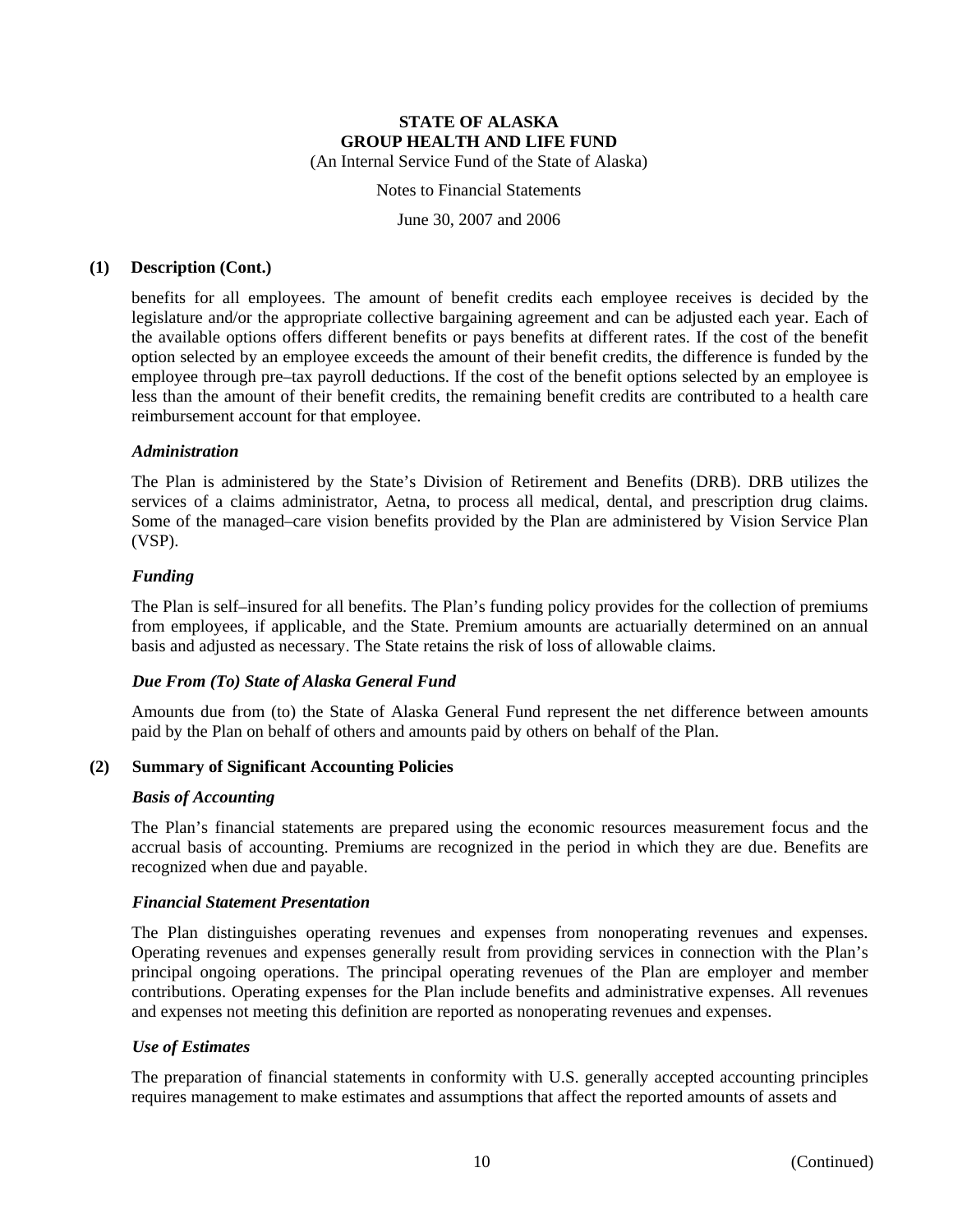#### Notes to Financial Statements

June 30, 2007 and 2006

#### **(1) Description (Cont.)**

benefits for all employees. The amount of benefit credits each employee receives is decided by the legislature and/or the appropriate collective bargaining agreement and can be adjusted each year. Each of the available options offers different benefits or pays benefits at different rates. If the cost of the benefit option selected by an employee exceeds the amount of their benefit credits, the difference is funded by the employee through pre–tax payroll deductions. If the cost of the benefit options selected by an employee is less than the amount of their benefit credits, the remaining benefit credits are contributed to a health care reimbursement account for that employee.

#### *Administration*

The Plan is administered by the State's Division of Retirement and Benefits (DRB). DRB utilizes the services of a claims administrator, Aetna, to process all medical, dental, and prescription drug claims. Some of the managed–care vision benefits provided by the Plan are administered by Vision Service Plan (VSP).

#### *Funding*

The Plan is self–insured for all benefits. The Plan's funding policy provides for the collection of premiums from employees, if applicable, and the State. Premium amounts are actuarially determined on an annual basis and adjusted as necessary. The State retains the risk of loss of allowable claims.

#### *Due From (To) State of Alaska General Fund*

Amounts due from (to) the State of Alaska General Fund represent the net difference between amounts paid by the Plan on behalf of others and amounts paid by others on behalf of the Plan.

#### **(2) Summary of Significant Accounting Policies**

#### *Basis of Accounting*

The Plan's financial statements are prepared using the economic resources measurement focus and the accrual basis of accounting. Premiums are recognized in the period in which they are due. Benefits are recognized when due and payable.

#### *Financial Statement Presentation*

The Plan distinguishes operating revenues and expenses from nonoperating revenues and expenses. Operating revenues and expenses generally result from providing services in connection with the Plan's principal ongoing operations. The principal operating revenues of the Plan are employer and member contributions. Operating expenses for the Plan include benefits and administrative expenses. All revenues and expenses not meeting this definition are reported as nonoperating revenues and expenses.

#### *Use of Estimates*

The preparation of financial statements in conformity with U.S. generally accepted accounting principles requires management to make estimates and assumptions that affect the reported amounts of assets and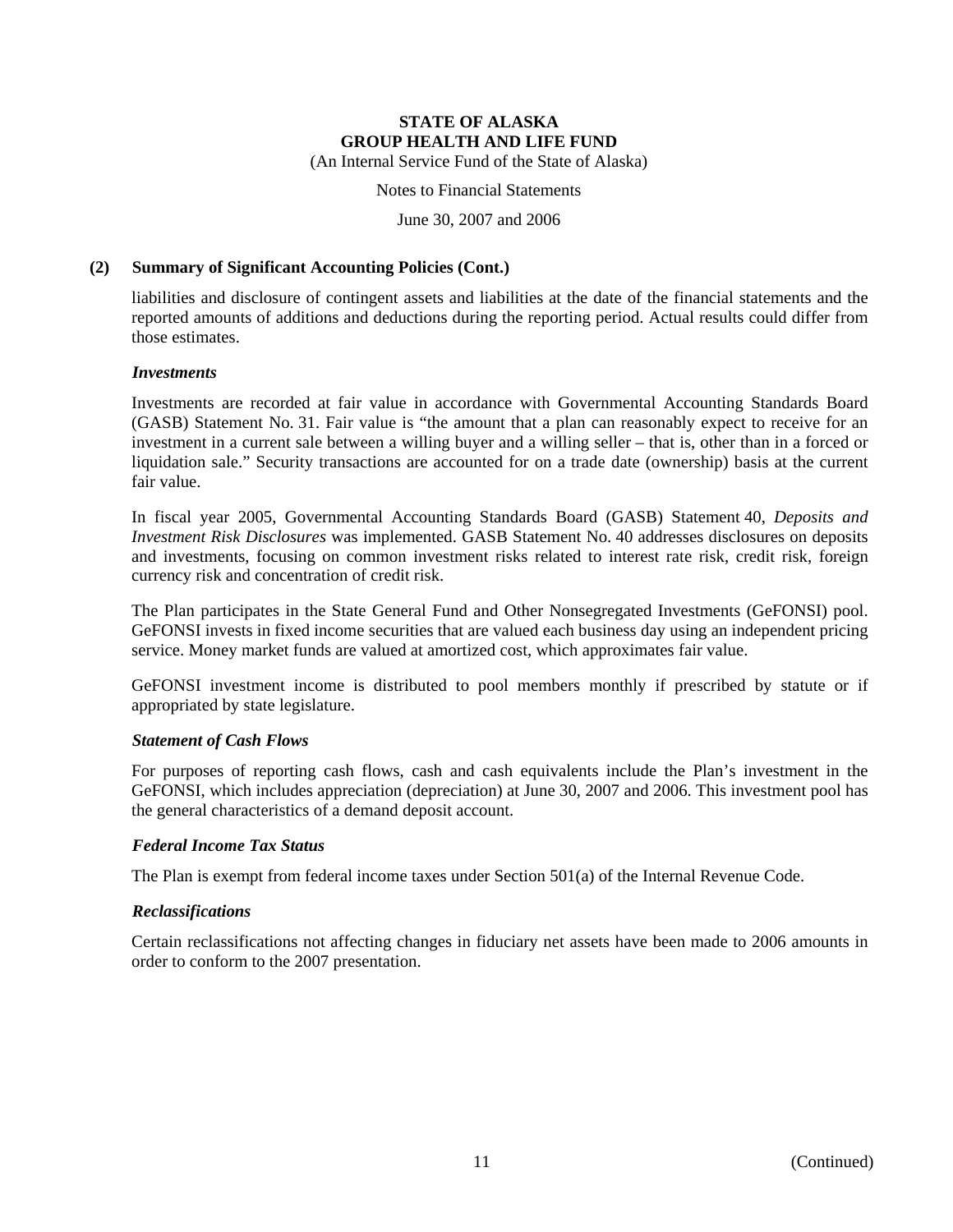Notes to Financial Statements

June 30, 2007 and 2006

#### **(2) Summary of Significant Accounting Policies (Cont.)**

liabilities and disclosure of contingent assets and liabilities at the date of the financial statements and the reported amounts of additions and deductions during the reporting period. Actual results could differ from those estimates.

#### *Investments*

Investments are recorded at fair value in accordance with Governmental Accounting Standards Board (GASB) Statement No. 31. Fair value is "the amount that a plan can reasonably expect to receive for an investment in a current sale between a willing buyer and a willing seller – that is, other than in a forced or liquidation sale." Security transactions are accounted for on a trade date (ownership) basis at the current fair value.

In fiscal year 2005, Governmental Accounting Standards Board (GASB) Statement 40, *Deposits and Investment Risk Disclosures* was implemented. GASB Statement No. 40 addresses disclosures on deposits and investments, focusing on common investment risks related to interest rate risk, credit risk, foreign currency risk and concentration of credit risk.

The Plan participates in the State General Fund and Other Nonsegregated Investments (GeFONSI) pool. GeFONSI invests in fixed income securities that are valued each business day using an independent pricing service. Money market funds are valued at amortized cost, which approximates fair value.

GeFONSI investment income is distributed to pool members monthly if prescribed by statute or if appropriated by state legislature.

#### *Statement of Cash Flows*

For purposes of reporting cash flows, cash and cash equivalents include the Plan's investment in the GeFONSI, which includes appreciation (depreciation) at June 30, 2007 and 2006. This investment pool has the general characteristics of a demand deposit account.

#### *Federal Income Tax Status*

The Plan is exempt from federal income taxes under Section 501(a) of the Internal Revenue Code.

#### *Reclassifications*

Certain reclassifications not affecting changes in fiduciary net assets have been made to 2006 amounts in order to conform to the 2007 presentation.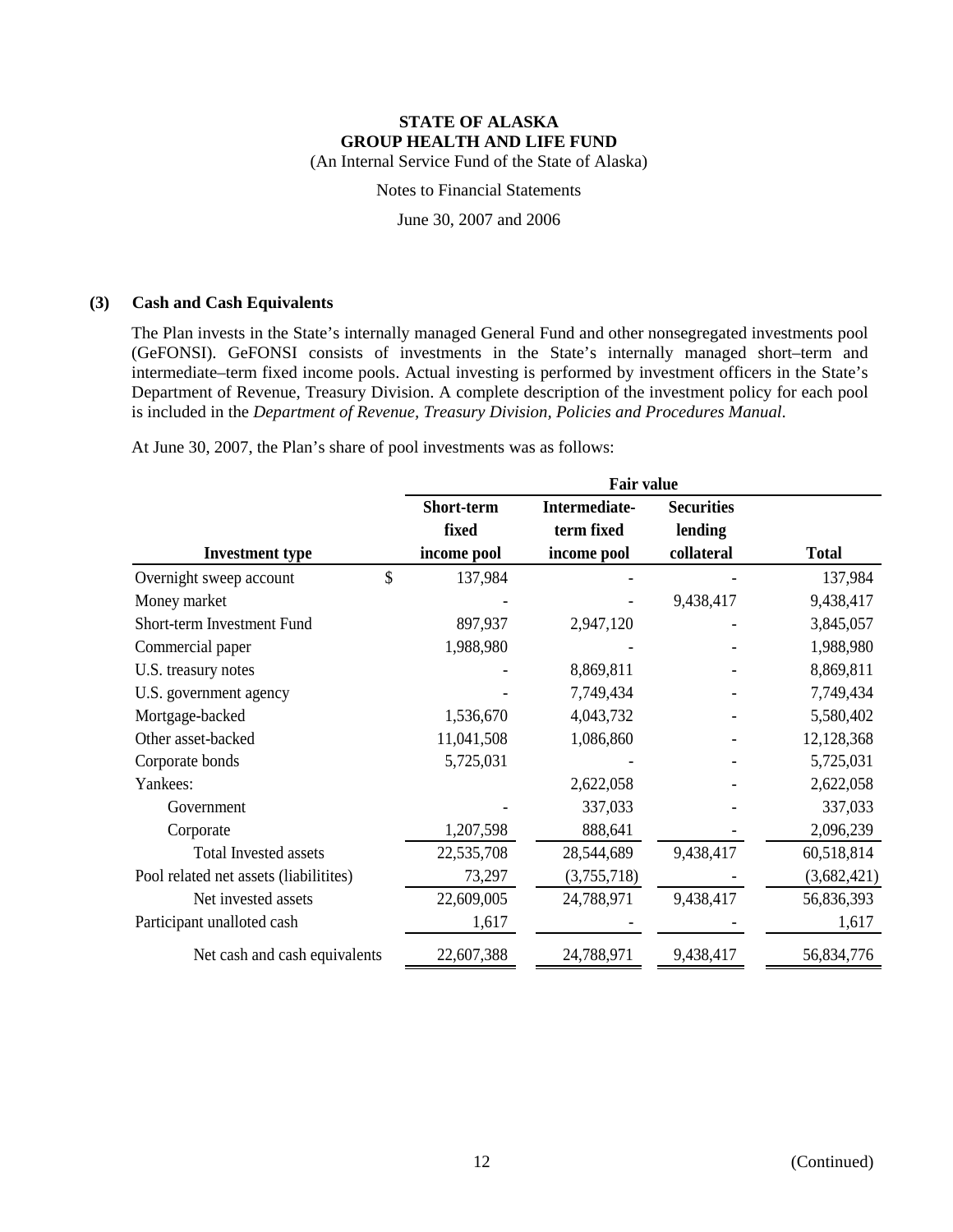Notes to Financial Statements

June 30, 2007 and 2006

#### **(3) Cash and Cash Equivalents**

The Plan invests in the State's internally managed General Fund and other nonsegregated investments pool (GeFONSI). GeFONSI consists of investments in the State's internally managed short–term and intermediate–term fixed income pools. Actual investing is performed by investment officers in the State's Department of Revenue, Treasury Division. A complete description of the investment policy for each pool is included in the *Department of Revenue, Treasury Division, Policies and Procedures Manual*.

At June 30, 2007, the Plan's share of pool investments was as follows:

|                                        | <b>Fair value</b> |               |                   |              |  |  |  |
|----------------------------------------|-------------------|---------------|-------------------|--------------|--|--|--|
|                                        | Short-term        | Intermediate- | <b>Securities</b> |              |  |  |  |
|                                        | fixed             | term fixed    | lending           |              |  |  |  |
| <b>Investment type</b>                 | income pool       | income pool   | collateral        | <b>Total</b> |  |  |  |
| \$<br>Overnight sweep account          | 137,984           |               |                   | 137,984      |  |  |  |
| Money market                           |                   |               | 9,438,417         | 9,438,417    |  |  |  |
| Short-term Investment Fund             | 897,937           | 2,947,120     |                   | 3,845,057    |  |  |  |
| Commercial paper                       | 1,988,980         |               |                   | 1,988,980    |  |  |  |
| U.S. treasury notes                    |                   | 8,869,811     |                   | 8,869,811    |  |  |  |
| U.S. government agency                 |                   | 7,749,434     |                   | 7,749,434    |  |  |  |
| Mortgage-backed                        | 1,536,670         | 4,043,732     |                   | 5,580,402    |  |  |  |
| Other asset-backed                     | 11,041,508        | 1,086,860     |                   | 12,128,368   |  |  |  |
| Corporate bonds                        | 5,725,031         |               |                   | 5,725,031    |  |  |  |
| Yankees:                               |                   | 2,622,058     |                   | 2,622,058    |  |  |  |
| Government                             |                   | 337,033       |                   | 337,033      |  |  |  |
| Corporate                              | 1,207,598         | 888,641       |                   | 2,096,239    |  |  |  |
| <b>Total Invested assets</b>           | 22,535,708        | 28,544,689    | 9,438,417         | 60,518,814   |  |  |  |
| Pool related net assets (liabilitites) | 73,297            | (3,755,718)   |                   | (3,682,421)  |  |  |  |
| Net invested assets                    | 22,609,005        | 24,788,971    | 9,438,417         | 56,836,393   |  |  |  |
| Participant unalloted cash             | 1,617             |               |                   | 1,617        |  |  |  |
| Net cash and cash equivalents          | 22,607,388        | 24,788,971    | 9,438,417         | 56,834,776   |  |  |  |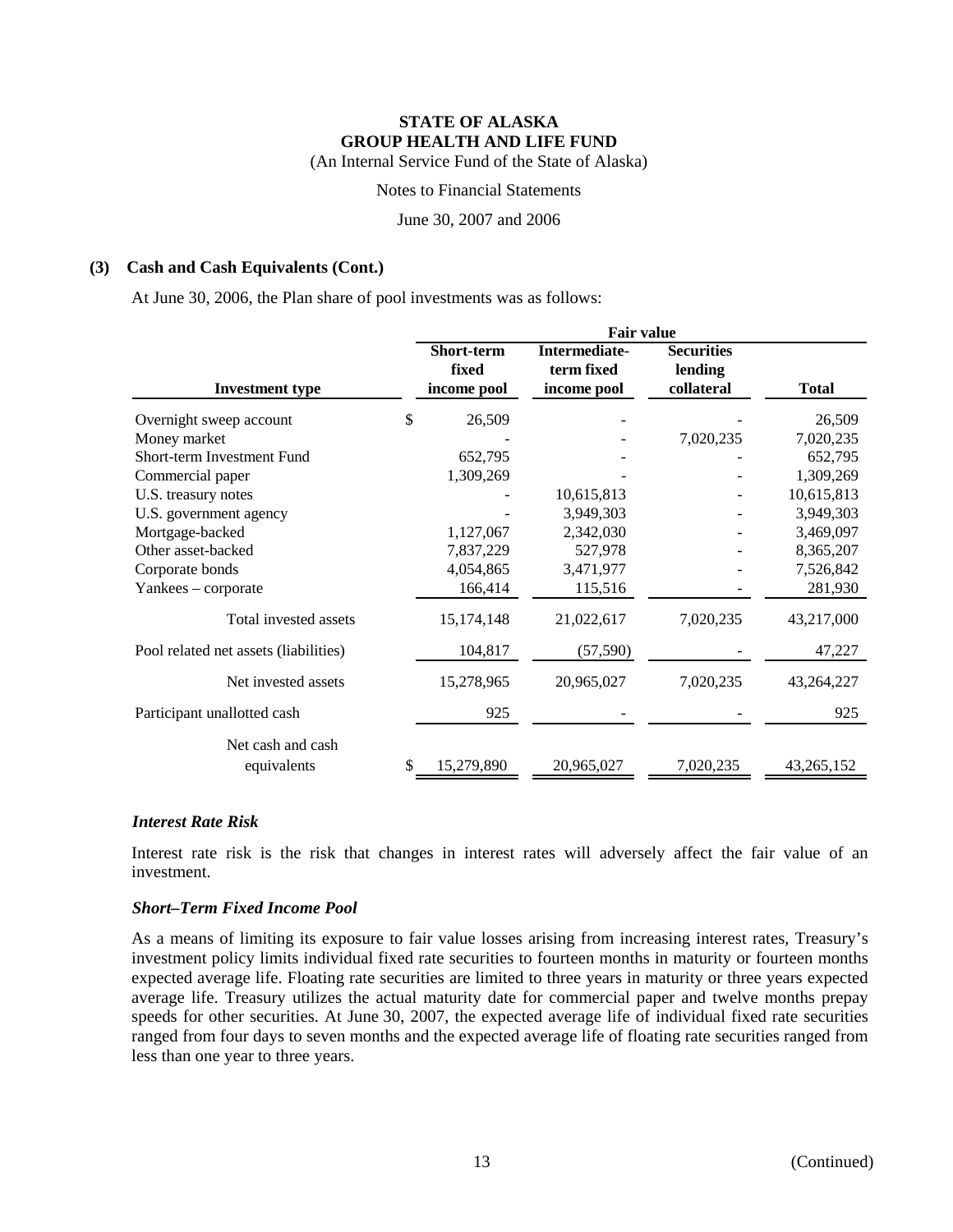Notes to Financial Statements

June 30, 2007 and 2006

#### **(3) Cash and Cash Equivalents (Cont.)**

At June 30, 2006, the Plan share of pool investments was as follows:

|                                       | <b>Fair value</b> |               |                   |              |  |  |  |  |
|---------------------------------------|-------------------|---------------|-------------------|--------------|--|--|--|--|
|                                       | Short-term        | Intermediate- | <b>Securities</b> |              |  |  |  |  |
|                                       | fixed             | term fixed    | lending           |              |  |  |  |  |
| <b>Investment type</b>                | income pool       | income pool   | collateral        | <b>Total</b> |  |  |  |  |
| Overnight sweep account               | \$<br>26,509      |               |                   | 26,509       |  |  |  |  |
| Money market                          |                   |               | 7,020,235         | 7,020,235    |  |  |  |  |
| Short-term Investment Fund            | 652,795           |               |                   | 652,795      |  |  |  |  |
| Commercial paper                      | 1,309,269         |               |                   | 1,309,269    |  |  |  |  |
| U.S. treasury notes                   |                   | 10,615,813    |                   | 10,615,813   |  |  |  |  |
| U.S. government agency                |                   | 3,949,303     |                   | 3,949,303    |  |  |  |  |
| Mortgage-backed                       | 1,127,067         | 2,342,030     |                   | 3,469,097    |  |  |  |  |
| Other asset-backed                    | 7,837,229         | 527,978       |                   | 8,365,207    |  |  |  |  |
| Corporate bonds                       | 4,054,865         | 3,471,977     |                   | 7,526,842    |  |  |  |  |
| Yankees - corporate                   | 166,414           | 115,516       |                   | 281,930      |  |  |  |  |
| Total invested assets                 | 15, 174, 148      | 21,022,617    | 7,020,235         | 43,217,000   |  |  |  |  |
| Pool related net assets (liabilities) | 104,817           | (57, 590)     |                   | 47,227       |  |  |  |  |
| Net invested assets                   | 15,278,965        | 20,965,027    | 7,020,235         | 43, 264, 227 |  |  |  |  |
| Participant unallotted cash           | 925               |               |                   | 925          |  |  |  |  |
| Net cash and cash                     |                   |               |                   |              |  |  |  |  |
| equivalents                           | \$<br>15,279,890  | 20,965,027    | 7,020,235         | 43,265,152   |  |  |  |  |

#### *Interest Rate Risk*

Interest rate risk is the risk that changes in interest rates will adversely affect the fair value of an investment.

#### *Short–Term Fixed Income Pool*

As a means of limiting its exposure to fair value losses arising from increasing interest rates, Treasury's investment policy limits individual fixed rate securities to fourteen months in maturity or fourteen months expected average life. Floating rate securities are limited to three years in maturity or three years expected average life. Treasury utilizes the actual maturity date for commercial paper and twelve months prepay speeds for other securities. At June 30, 2007, the expected average life of individual fixed rate securities ranged from four days to seven months and the expected average life of floating rate securities ranged from less than one year to three years.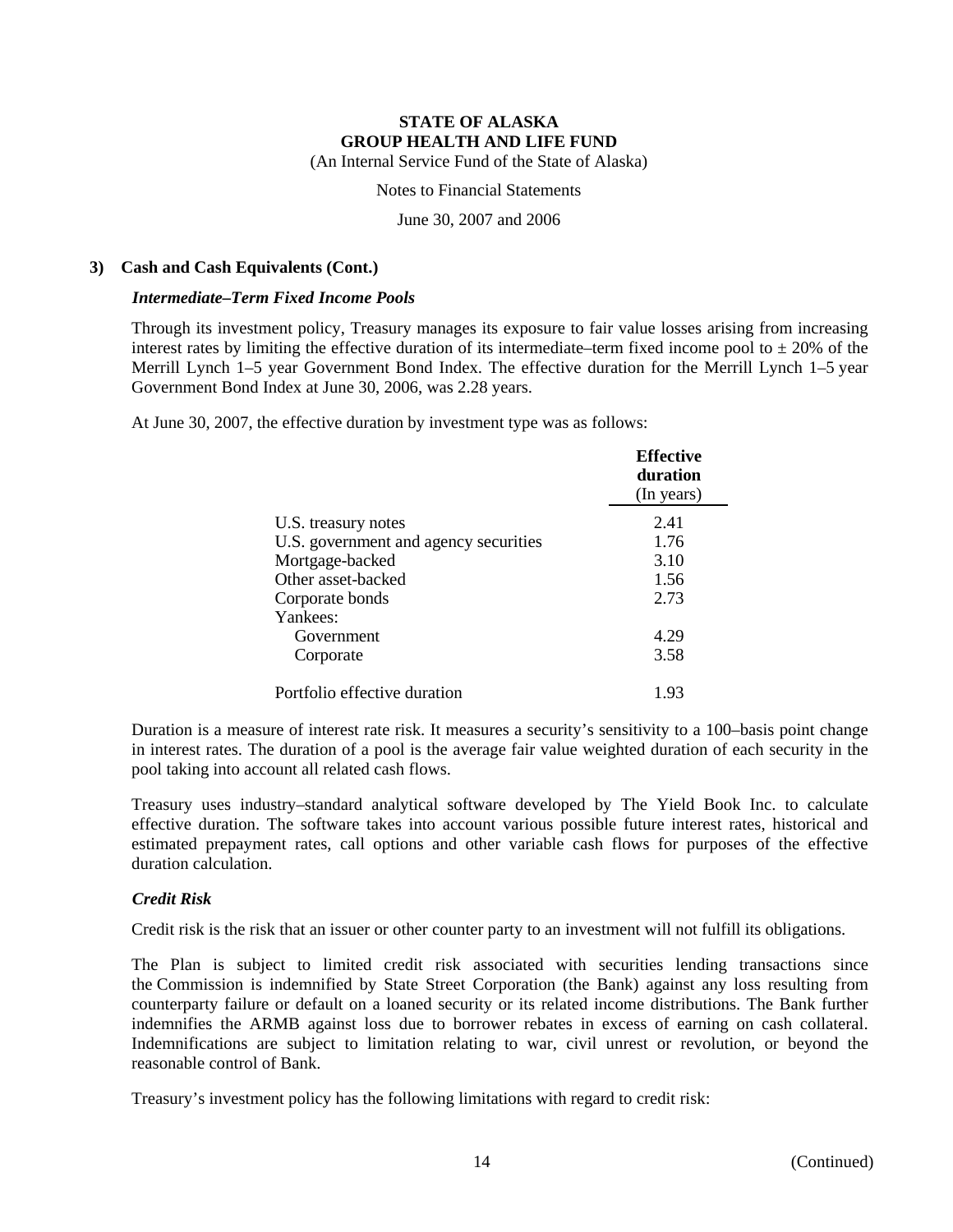Notes to Financial Statements

June 30, 2007 and 2006

#### **3) Cash and Cash Equivalents (Cont.)**

#### *Intermediate–Term Fixed Income Pools*

Through its investment policy, Treasury manages its exposure to fair value losses arising from increasing interest rates by limiting the effective duration of its intermediate–term fixed income pool to  $\pm$  20% of the Merrill Lynch 1–5 year Government Bond Index. The effective duration for the Merrill Lynch 1–5 year Government Bond Index at June 30, 2006, was 2.28 years.

At June 30, 2007, the effective duration by investment type was as follows:

|                                       | <b>Effective</b><br>duration<br>(In years) |
|---------------------------------------|--------------------------------------------|
| U.S. treasury notes                   | 2.41                                       |
| U.S. government and agency securities | 1.76                                       |
| Mortgage-backed                       | 3.10                                       |
| Other asset-backed                    | 1.56                                       |
| Corporate bonds                       | 2.73                                       |
| Yankees:                              |                                            |
| Government                            | 4.29                                       |
| Corporate                             | 3.58                                       |
| Portfolio effective duration          | 1.93                                       |

Duration is a measure of interest rate risk. It measures a security's sensitivity to a 100–basis point change in interest rates. The duration of a pool is the average fair value weighted duration of each security in the pool taking into account all related cash flows.

Treasury uses industry–standard analytical software developed by The Yield Book Inc. to calculate effective duration. The software takes into account various possible future interest rates, historical and estimated prepayment rates, call options and other variable cash flows for purposes of the effective duration calculation.

#### *Credit Risk*

Credit risk is the risk that an issuer or other counter party to an investment will not fulfill its obligations.

The Plan is subject to limited credit risk associated with securities lending transactions since the Commission is indemnified by State Street Corporation (the Bank) against any loss resulting from counterparty failure or default on a loaned security or its related income distributions. The Bank further indemnifies the ARMB against loss due to borrower rebates in excess of earning on cash collateral. Indemnifications are subject to limitation relating to war, civil unrest or revolution, or beyond the reasonable control of Bank.

Treasury's investment policy has the following limitations with regard to credit risk: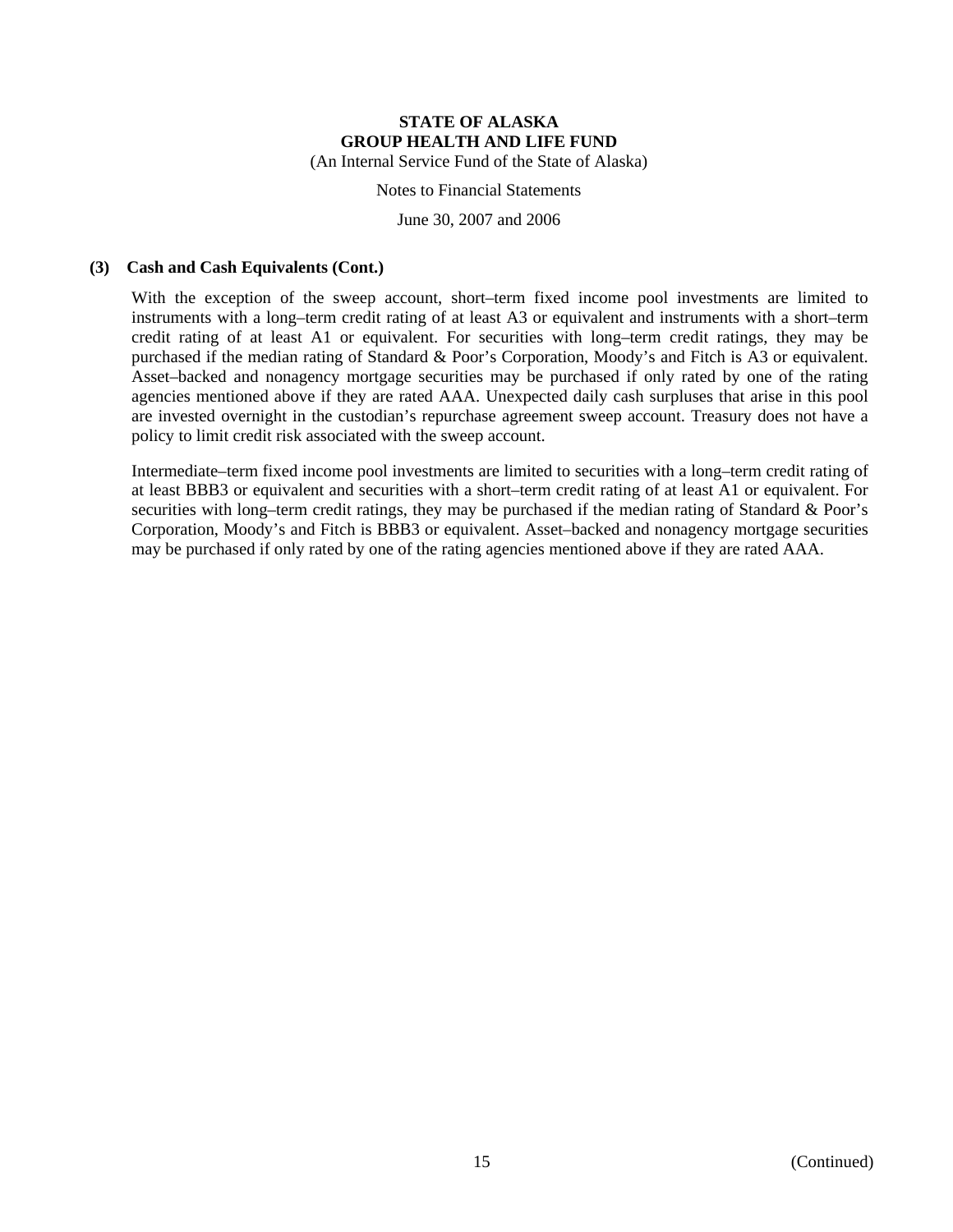Notes to Financial Statements

June 30, 2007 and 2006

#### **(3) Cash and Cash Equivalents (Cont.)**

With the exception of the sweep account, short–term fixed income pool investments are limited to instruments with a long–term credit rating of at least A3 or equivalent and instruments with a short–term credit rating of at least A1 or equivalent. For securities with long–term credit ratings, they may be purchased if the median rating of Standard & Poor's Corporation, Moody's and Fitch is A3 or equivalent. Asset–backed and nonagency mortgage securities may be purchased if only rated by one of the rating agencies mentioned above if they are rated AAA. Unexpected daily cash surpluses that arise in this pool are invested overnight in the custodian's repurchase agreement sweep account. Treasury does not have a policy to limit credit risk associated with the sweep account.

Intermediate–term fixed income pool investments are limited to securities with a long–term credit rating of at least BBB3 or equivalent and securities with a short–term credit rating of at least A1 or equivalent. For securities with long–term credit ratings, they may be purchased if the median rating of Standard & Poor's Corporation, Moody's and Fitch is BBB3 or equivalent. Asset–backed and nonagency mortgage securities may be purchased if only rated by one of the rating agencies mentioned above if they are rated AAA.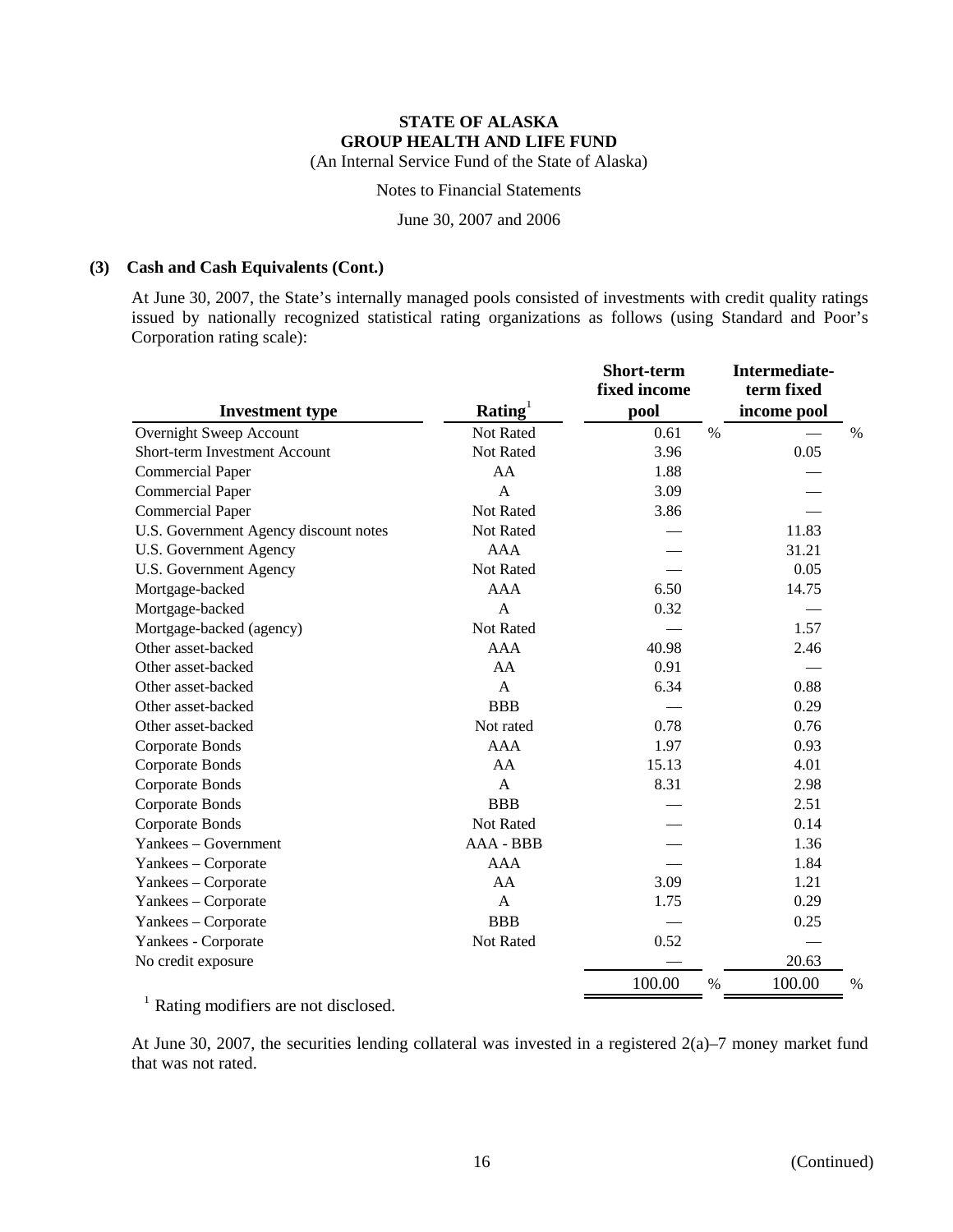Notes to Financial Statements

June 30, 2007 and 2006

#### **(3) Cash and Cash Equivalents (Cont.)**

At June 30, 2007, the State's internally managed pools consisted of investments with credit quality ratings issued by nationally recognized statistical rating organizations as follows (using Standard and Poor's Corporation rating scale):

| <b>Investment type</b>                | Rating <sup>1</sup> | Short-term<br>fixed income<br>pool | Intermediate-<br>term fixed<br>income pool |      |
|---------------------------------------|---------------------|------------------------------------|--------------------------------------------|------|
| Overnight Sweep Account               | Not Rated           | 0.61                               | %                                          | %    |
| Short-term Investment Account         | Not Rated           | 3.96                               | 0.05                                       |      |
| <b>Commercial Paper</b>               | AA                  | 1.88                               |                                            |      |
| <b>Commercial Paper</b>               | $\mathsf{A}$        | 3.09                               |                                            |      |
| <b>Commercial Paper</b>               | Not Rated           | 3.86                               |                                            |      |
| U.S. Government Agency discount notes | Not Rated           |                                    | 11.83                                      |      |
| U.S. Government Agency                | <b>AAA</b>          |                                    | 31.21                                      |      |
| <b>U.S. Government Agency</b>         | Not Rated           |                                    | 0.05                                       |      |
| Mortgage-backed                       | <b>AAA</b>          | 6.50                               | 14.75                                      |      |
| Mortgage-backed                       | $\overline{A}$      | 0.32                               |                                            |      |
| Mortgage-backed (agency)              | Not Rated           |                                    | 1.57                                       |      |
| Other asset-backed                    | <b>AAA</b>          | 40.98                              | 2.46                                       |      |
| Other asset-backed                    | AA                  | 0.91                               |                                            |      |
| Other asset-backed                    | $\mathsf{A}$        | 6.34                               | 0.88                                       |      |
| Other asset-backed                    | <b>BBB</b>          |                                    | 0.29                                       |      |
| Other asset-backed                    | Not rated           | 0.78                               | 0.76                                       |      |
| Corporate Bonds                       | <b>AAA</b>          | 1.97                               | 0.93                                       |      |
| Corporate Bonds                       | AA                  | 15.13                              | 4.01                                       |      |
| Corporate Bonds                       | A                   | 8.31                               | 2.98                                       |      |
| Corporate Bonds                       | <b>BBB</b>          |                                    | 2.51                                       |      |
| <b>Corporate Bonds</b>                | Not Rated           |                                    | 0.14                                       |      |
| Yankees – Government                  | AAA - BBB           |                                    | 1.36                                       |      |
| Yankees - Corporate                   | <b>AAA</b>          |                                    | 1.84                                       |      |
| Yankees - Corporate                   | AA                  | 3.09                               | 1.21                                       |      |
| Yankees – Corporate                   | A                   | 1.75                               | 0.29                                       |      |
| Yankees - Corporate                   | <b>BBB</b>          |                                    | 0.25                                       |      |
| Yankees - Corporate                   | Not Rated           | 0.52                               |                                            |      |
| No credit exposure                    |                     |                                    | 20.63                                      |      |
|                                       |                     | 100.00                             | 100.00<br>%                                | $\%$ |

<sup>1</sup> Rating modifiers are not disclosed.

At June 30, 2007, the securities lending collateral was invested in a registered 2(a)–7 money market fund that was not rated.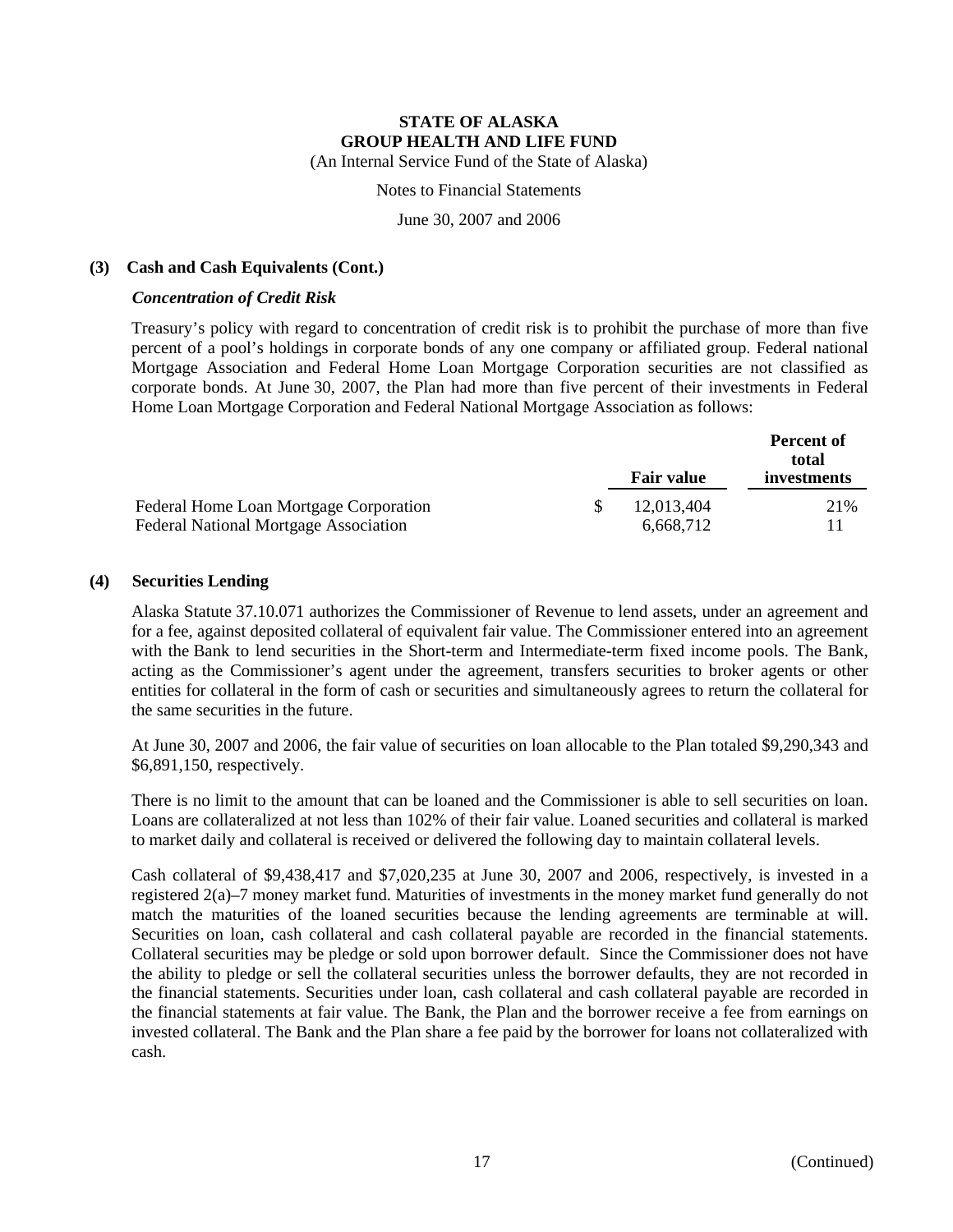Notes to Financial Statements

June 30, 2007 and 2006

#### **(3) Cash and Cash Equivalents (Cont.)**

#### *Concentration of Credit Risk*

Treasury's policy with regard to concentration of credit risk is to prohibit the purchase of more than five percent of a pool's holdings in corporate bonds of any one company or affiliated group. Federal national Mortgage Association and Federal Home Loan Mortgage Corporation securities are not classified as corporate bonds. At June 30, 2007, the Plan had more than five percent of their investments in Federal Home Loan Mortgage Corporation and Federal National Mortgage Association as follows:

|                                              | <b>Fair value</b> | <b>Percent of</b><br>total<br>investments |
|----------------------------------------------|-------------------|-------------------------------------------|
| Federal Home Loan Mortgage Corporation       | 12,013,404        | 21\%                                      |
| <b>Federal National Mortgage Association</b> | 6.668.712         |                                           |

#### **(4) Securities Lending**

Alaska Statute 37.10.071 authorizes the Commissioner of Revenue to lend assets, under an agreement and for a fee, against deposited collateral of equivalent fair value. The Commissioner entered into an agreement with the Bank to lend securities in the Short-term and Intermediate-term fixed income pools. The Bank, acting as the Commissioner's agent under the agreement, transfers securities to broker agents or other entities for collateral in the form of cash or securities and simultaneously agrees to return the collateral for the same securities in the future.

At June 30, 2007 and 2006, the fair value of securities on loan allocable to the Plan totaled \$9,290,343 and \$6,891,150, respectively.

There is no limit to the amount that can be loaned and the Commissioner is able to sell securities on loan. Loans are collateralized at not less than 102% of their fair value. Loaned securities and collateral is marked to market daily and collateral is received or delivered the following day to maintain collateral levels.

Cash collateral of \$9,438,417 and \$7,020,235 at June 30, 2007 and 2006, respectively, is invested in a registered 2(a)–7 money market fund. Maturities of investments in the money market fund generally do not match the maturities of the loaned securities because the lending agreements are terminable at will. Securities on loan, cash collateral and cash collateral payable are recorded in the financial statements. Collateral securities may be pledge or sold upon borrower default. Since the Commissioner does not have the ability to pledge or sell the collateral securities unless the borrower defaults, they are not recorded in the financial statements. Securities under loan, cash collateral and cash collateral payable are recorded in the financial statements at fair value. The Bank, the Plan and the borrower receive a fee from earnings on invested collateral. The Bank and the Plan share a fee paid by the borrower for loans not collateralized with cash.